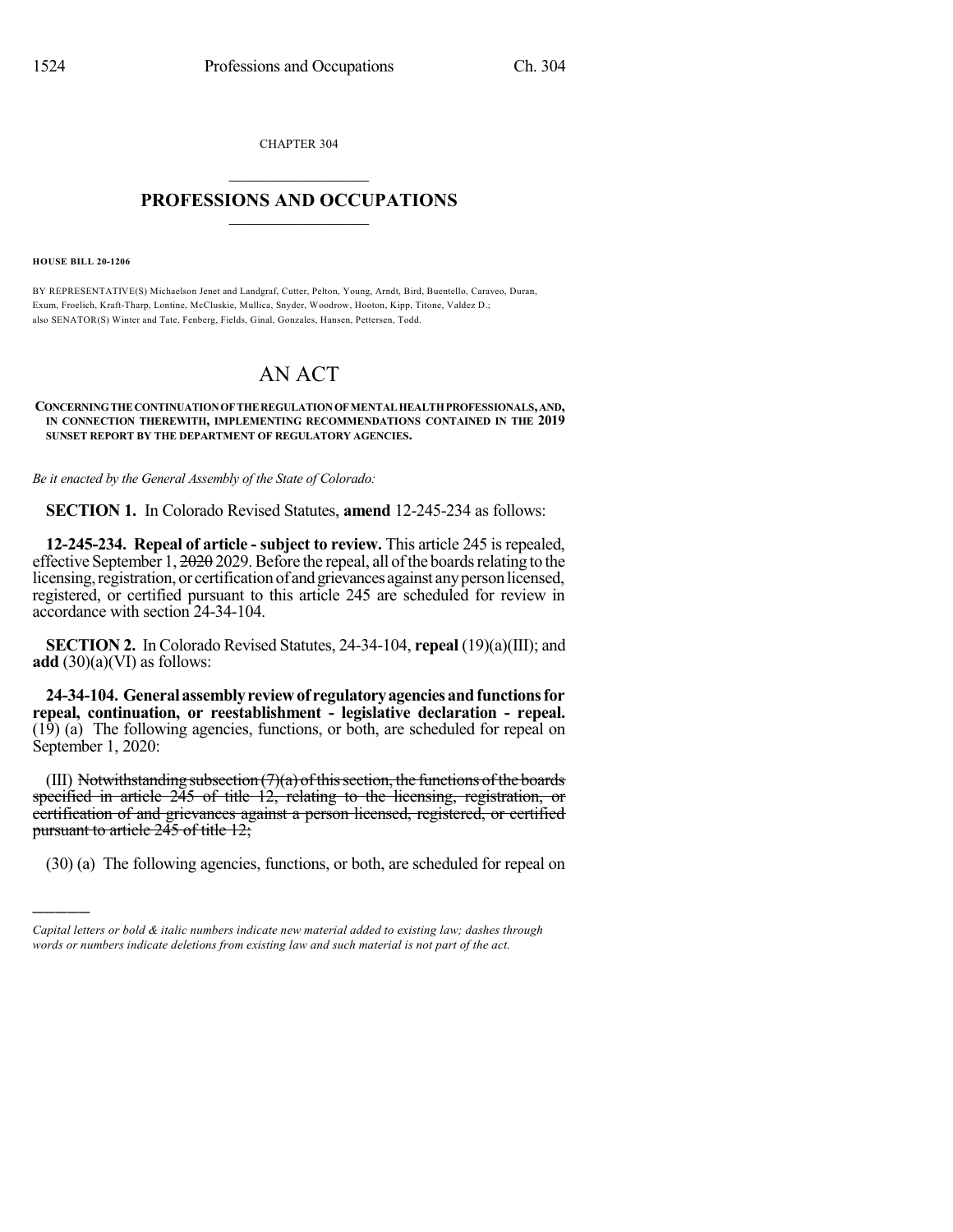CHAPTER 304  $\mathcal{L}_\text{max}$  . The set of the set of the set of the set of the set of the set of the set of the set of the set of the set of the set of the set of the set of the set of the set of the set of the set of the set of the set

## **PROFESSIONS AND OCCUPATIONS**  $\frac{1}{2}$  ,  $\frac{1}{2}$  ,  $\frac{1}{2}$  ,  $\frac{1}{2}$  ,  $\frac{1}{2}$  ,  $\frac{1}{2}$  ,  $\frac{1}{2}$

**HOUSE BILL 20-1206**

)))))

BY REPRESENTATIVE(S) Michaelson Jenet and Landgraf, Cutter, Pelton, Young, Arndt, Bird, Buentello, Caraveo, Duran, Exum, Froelich, Kraft-Tharp, Lontine, McCluskie, Mullica, Snyder, Woodrow, Hooton, Kipp, Titone, Valdez D.; also SENATOR(S) Winter and Tate, Fenberg, Fields, Ginal, Gonzales, Hansen, Pettersen, Todd.

## AN ACT

## **CONCERNINGTHECONTINUATIONOFTHEREGULATIONOFMENTALHEALTHPROFESSIONALS,AND, IN CONNECTION THEREWITH, IMPLEMENTING RECOMMENDATIONS CONTAINED IN THE 2019 SUNSET REPORT BY THE DEPARTMENT OF REGULATORY AGENCIES.**

*Be it enacted by the General Assembly of the State of Colorado:*

**SECTION 1.** In Colorado Revised Statutes, **amend** 12-245-234 as follows:

**12-245-234. Repeal of article - subject to review.** This article 245 is repealed, effective September 1,  $2029.$  Before the repeal, all of the boards relating to the licensing, registration, or certification of and grievances against any person licensed, registered, or certified pursuant to this article 245 are scheduled for review in accordance with section 24-34-104.

**SECTION 2.** In Colorado Revised Statutes, 24-34-104, **repeal** (19)(a)(III); and **add** (30)(a)(VI) as follows:

**24-34-104. Generalassemblyreviewof regulatoryagenciesandfunctionsfor repeal, continuation, or reestablishment - legislative declaration - repeal.**  $(19)$  (a) The following agencies, functions, or both, are scheduled for repeal on September 1, 2020:

(III) Notwithstanding subsection  $(7)(a)$  of this section, the functions of the boards specified in article 245 of title 12, relating to the licensing, registration, or certification of and grievances against a person licensed, registered, or certified pursuant to article  $245$  of title  $12$ ;

(30) (a) The following agencies, functions, or both, are scheduled for repeal on

*Capital letters or bold & italic numbers indicate new material added to existing law; dashes through words or numbers indicate deletions from existing law and such material is not part of the act.*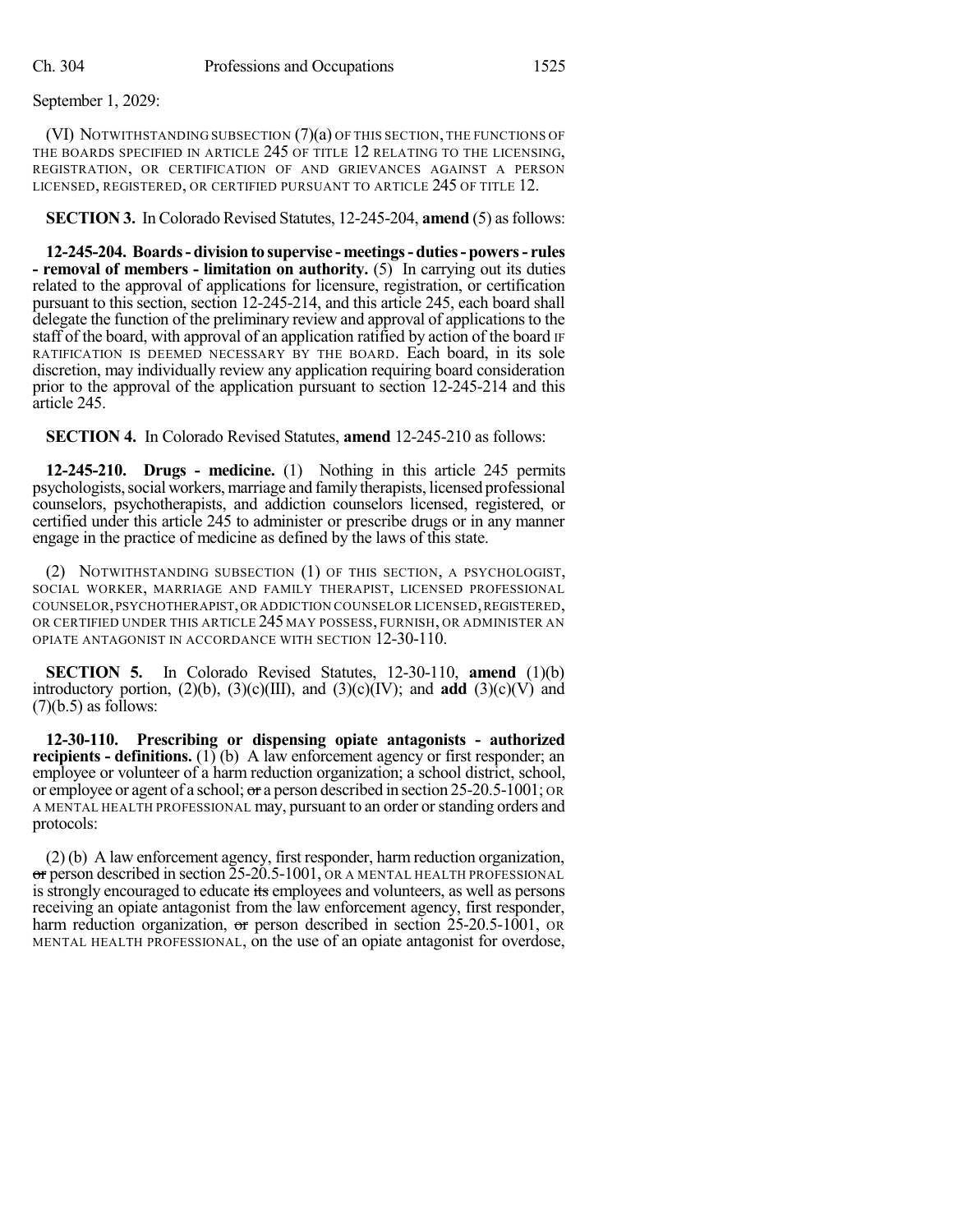(VI) NOTWITHSTANDING SUBSECTION (7)(a) OF THIS SECTION, THE FUNCTIONS OF THE BOARDS SPECIFIED IN ARTICLE 245 OF TITLE 12 RELATING TO THE LICENSING, REGISTRATION, OR CERTIFICATION OF AND GRIEVANCES AGAINST A PERSON LICENSED, REGISTERED, OR CERTIFIED PURSUANT TO ARTICLE 245 OF TITLE 12.

**SECTION 3.** In Colorado Revised Statutes, 12-245-204, **amend** (5) asfollows:

**12-245-204. Boards- division to supervise - meetings- duties- powers- rules - removal of members - limitation on authority.** (5) In carrying out its duties related to the approval of applications for licensure, registration, or certification pursuant to this section, section 12-245-214, and this article 245, each board shall delegate the function of the preliminary review and approval of applications to the staff of the board, with approval of an application ratified by action of the board IF RATIFICATION IS DEEMED NECESSARY BY THE BOARD. Each board, in its sole discretion, may individually review any application requiring board consideration prior to the approval of the application pursuant to section 12-245-214 and this article 245.

**SECTION 4.** In Colorado Revised Statutes, **amend** 12-245-210 as follows:

**12-245-210. Drugs - medicine.** (1) Nothing in this article 245 permits psychologists, social workers, marriage and family therapists, licensed professional counselors, psychotherapists, and addiction counselors licensed, registered, or certified under this article 245 to administer or prescribe drugs or in any manner engage in the practice of medicine as defined by the laws of this state.

(2) NOTWITHSTANDING SUBSECTION (1) OF THIS SECTION, A PSYCHOLOGIST, SOCIAL WORKER, MARRIAGE AND FAMILY THERAPIST, LICENSED PROFESSIONAL COUNSELOR,PSYCHOTHERAPIST,OR ADDICTION COUNSELOR LICENSED,REGISTERED, OR CERTIFIED UNDER THIS ARTICLE 245 MAY POSSESS, FURNISH, OR ADMINISTER AN OPIATE ANTAGONIST IN ACCORDANCE WITH SECTION 12-30-110.

**SECTION 5.** In Colorado Revised Statutes, 12-30-110, **amend** (1)(b) introductory portion,  $(2)(b)$ ,  $(3)(c)(III)$ , and  $(3)(c)(IV)$ ; and **add**  $(3)(c)(V)$  and  $(7)(b.5)$  as follows:

**12-30-110. Prescribing or dispensing opiate antagonists - authorized recipients - definitions.** (1) (b) A law enforcement agency or first responder; an employee or volunteer of a harm reduction organization; a school district, school, or employee or agent of a school; or a person described in section 25-20.5-1001; OR A MENTAL HEALTH PROFESSIONAL may, pursuant to an order orstanding orders and protocols:

(2) (b) A law enforcement agency, first responder, harm reduction organization, or person described in section 25-20.5-1001, OR A MENTAL HEALTH PROFESSIONAL is strongly encouraged to educate its employees and volunteers, as well as persons receiving an opiate antagonist from the law enforcement agency, first responder, harm reduction organization, or person described in section 25-20.5-1001, OR MENTAL HEALTH PROFESSIONAL, on the use of an opiate antagonist for overdose,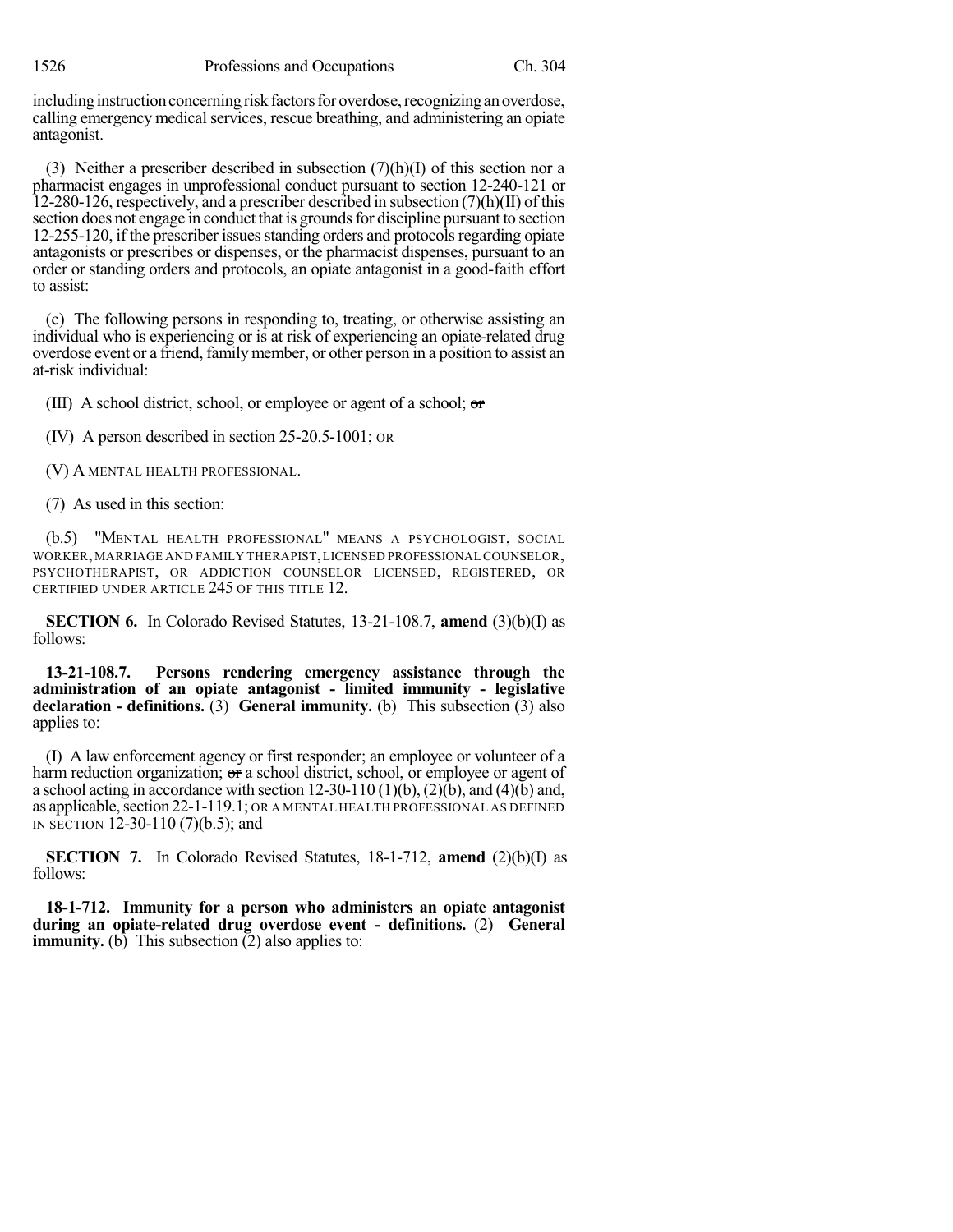including instruction concerning risk factors for overdose, recognizing an overdose, calling emergency medical services, rescue breathing, and administering an opiate antagonist.

(3) Neither a prescriber described in subsection  $(7)(h)(I)$  of this section nor a pharmacist engages in unprofessional conduct pursuant to section 12-240-121 or 12-280-126, respectively, and a prescriber described in subsection (7)(h)(II) of this section does not engage in conduct that is grounds for discipline pursuant to section 12-255-120, if the prescriber issues standing orders and protocols regarding opiate antagonists or prescribes or dispenses, or the pharmacist dispenses, pursuant to an order or standing orders and protocols, an opiate antagonist in a good-faith effort to assist:

(c) The following persons in responding to, treating, or otherwise assisting an individual who is experiencing or is at risk of experiencing an opiate-related drug overdose event or a friend, familymember, or other person in a position to assist an at-risk individual:

(III) A school district, school, or employee or agent of a school; or

(IV) A person described in section 25-20.5-1001; OR

(V) A MENTAL HEALTH PROFESSIONAL.

(7) As used in this section:

(b.5) "MENTAL HEALTH PROFESSIONAL" MEANS A PSYCHOLOGIST, SOCIAL WORKER,MARRIAGE AND FAMILY THERAPIST,LICENSED PROFESSIONAL COUNSELOR, PSYCHOTHERAPIST, OR ADDICTION COUNSELOR LICENSED, REGISTERED, OR CERTIFIED UNDER ARTICLE 245 OF THIS TITLE 12.

**SECTION 6.** In Colorado Revised Statutes, 13-21-108.7, **amend** (3)(b)(I) as follows:

**13-21-108.7. Persons rendering emergency assistance through the administration of an opiate antagonist - limited immunity - legislative declaration - definitions.** (3) **General immunity.** (b) This subsection (3) also applies to:

(I) A law enforcement agency or first responder; an employee or volunteer of a harm reduction organization; or a school district, school, or employee or agent of a school acting in accordance with section 12-30-110 (1)(b), (2)(b), and (4)(b) and, as applicable, section 22-1-119.1; OR A MENTAL HEALTH PROFESSIONAL AS DEFINED IN SECTION 12-30-110 (7)(b.5); and

**SECTION 7.** In Colorado Revised Statutes, 18-1-712, **amend** (2)(b)(I) as follows:

**18-1-712. Immunity for a person who administers an opiate antagonist during an opiate-related drug overdose event - definitions.** (2) **General immunity.** (b) This subsection  $(2)$  also applies to: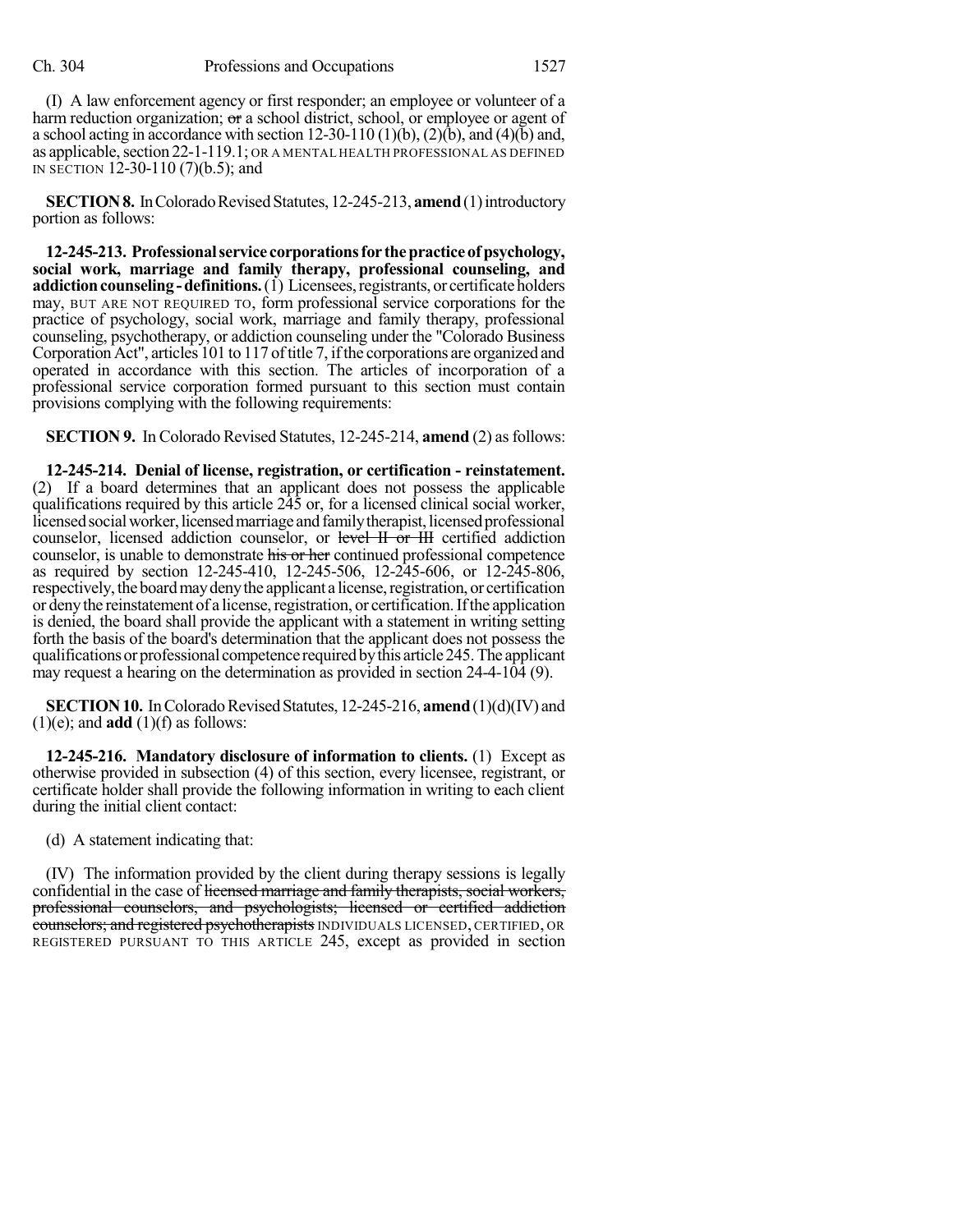(I) A law enforcement agency or first responder; an employee or volunteer of a harm reduction organization; or a school district, school, or employee or agent of a school acting in accordance with section  $12-30-110(1)(b)$ ,  $(2)(b)$ , and  $(4)(b)$  and, as applicable, section 22-1-119.1; OR A MENTAL HEALTH PROFESSIONAL AS DEFINED IN SECTION 12-30-110 (7)(b.5); and

**SECTION 8.** In Colorado Revised Statutes, 12-245-213, **amend** (1) introductory portion as follows:

**12-245-213. Professionalservice corporationsfor thepracticeofpsychology, social work, marriage and family therapy, professional counseling, and addiction counseling - definitions.** (1) Licensees, registrants, or certificate holders may, BUT ARE NOT REQUIRED TO, form professional service corporations for the practice of psychology, social work, marriage and family therapy, professional counseling, psychotherapy, or addiction counseling under the "Colorado Business Corporation Act", articles 101 to 117 of title 7, if the corporations are organized and operated in accordance with this section. The articles of incorporation of a professional service corporation formed pursuant to this section must contain provisions complying with the following requirements:

**SECTION 9.** In Colorado Revised Statutes, 12-245-214, **amend** (2) as follows:

**12-245-214. Denial of license, registration, or certification - reinstatement.** (2) If a board determines that an applicant does not possess the applicable qualifications required by this article 245 or, for a licensed clinical social worker, licensed social worker, licensed marriage and family therapist, licensed professional counselor, licensed addiction counselor, or level II or III certified addiction counselor, is unable to demonstrate his or her continued professional competence as required by section 12-245-410, 12-245-506, 12-245-606, or 12-245-806, respectively, the board may deny the applicant a license, registration, or certification or deny the reinstatement of a license, registration, or certification. If the application is denied, the board shall provide the applicant with a statement in writing setting forth the basis of the board's determination that the applicant does not possess the qualificationsorprofessional competence requiredbythis article245.The applicant may request a hearing on the determination as provided in section 24-4-104 (9).

**SECTION 10.** In Colorado Revised Statutes, 12-245-216, **amend** (1)(d)(IV) and  $(1)(e)$ ; and **add**  $(1)(f)$  as follows:

**12-245-216. Mandatory disclosure of information to clients.** (1) Except as otherwise provided in subsection (4) of this section, every licensee, registrant, or certificate holder shall provide the following information in writing to each client during the initial client contact:

(d) A statement indicating that:

(IV) The information provided by the client during therapy sessions is legally confidential in the case of licensed marriage and family therapists, social workers, professional counselors, and psychologists; licensed or certified addiction counselors; and registered psychotherapists INDIVIDUALS LICENSED, CERTIFIED, OR REGISTERED PURSUANT TO THIS ARTICLE 245, except as provided in section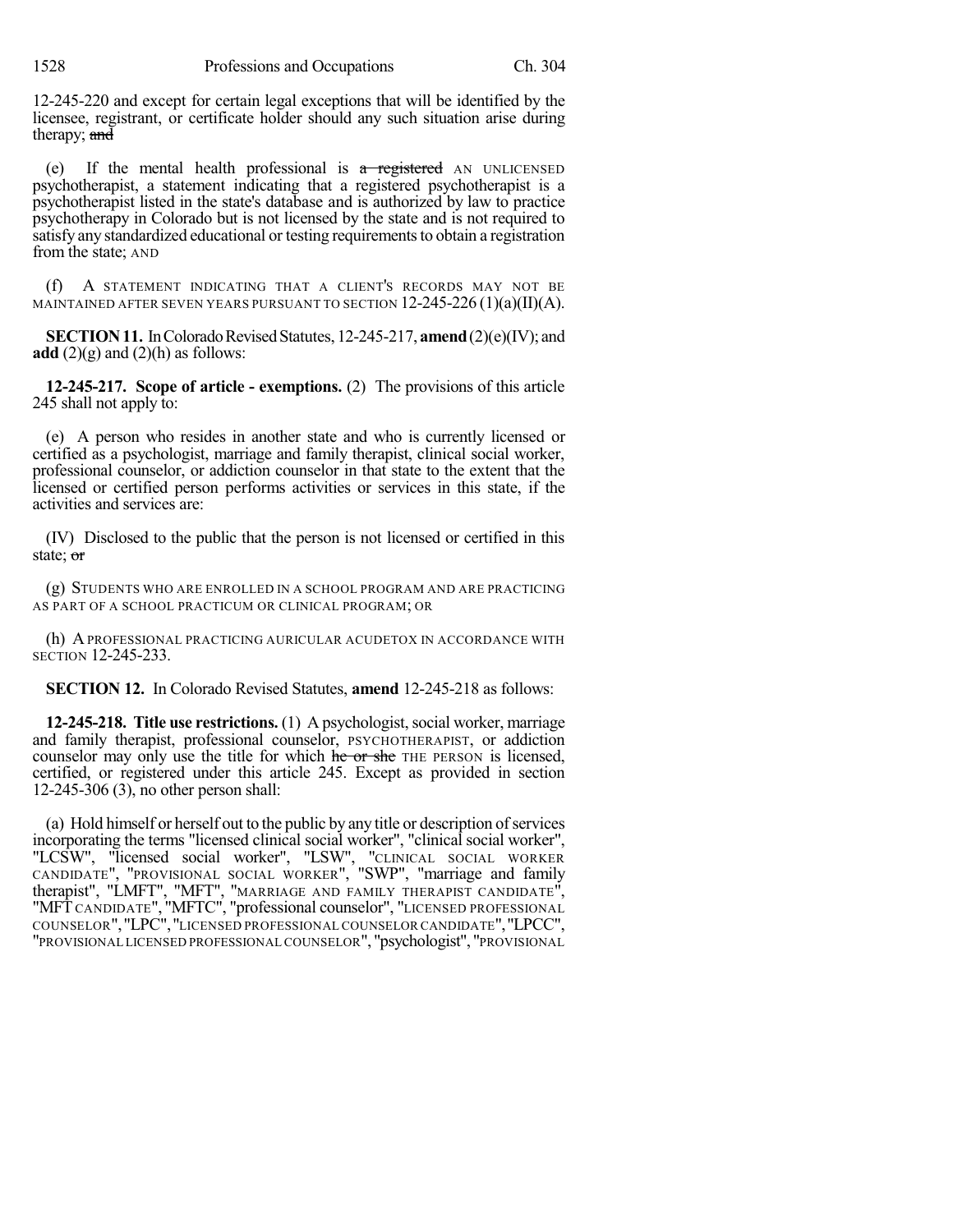1528 Professions and Occupations Ch. 304

12-245-220 and except for certain legal exceptions that will be identified by the licensee, registrant, or certificate holder should any such situation arise during therapy; and

(e) If the mental health professional is  $\alpha$  registered AN UNLICENSED psychotherapist, a statement indicating that a registered psychotherapist is a psychotherapist listed in the state's database and is authorized by law to practice psychotherapy in Colorado but is not licensed by the state and is not required to satisfy any standardized educational or testing requirements to obtain a registration from the state; AND

(f) A STATEMENT INDICATING THAT A CLIENT'S RECORDS MAY NOT BE MAINTAINED AFTER SEVEN YEARS PURSUANT TO SECTION  $12-245-226(1)(a)(II)(A)$ .

**SECTION 11.** In Colorado Revised Statutes, 12-245-217, **amend** (2)(e)(IV); and **add**  $(2)(g)$  and  $(2)(h)$  as follows:

**12-245-217. Scope of article - exemptions.** (2) The provisions of this article 245 shall not apply to:

(e) A person who resides in another state and who is currently licensed or certified as a psychologist, marriage and family therapist, clinical social worker, professional counselor, or addiction counselor in that state to the extent that the licensed or certified person performs activities or services in this state, if the activities and services are:

(IV) Disclosed to the public that the person is not licensed or certified in this state; or

(g) STUDENTS WHO ARE ENROLLED IN A SCHOOL PROGRAM AND ARE PRACTICING AS PART OF A SCHOOL PRACTICUM OR CLINICAL PROGRAM; OR

(h) APROFESSIONAL PRACTICING AURICULAR ACUDETOX IN ACCORDANCE WITH SECTION 12-245-233.

**SECTION 12.** In Colorado Revised Statutes, **amend** 12-245-218 as follows:

**12-245-218. Title use restrictions.** (1) A psychologist, social worker, marriage and family therapist, professional counselor, PSYCHOTHERAPIST, or addiction counselor may only use the title for which he or she THE PERSON is licensed, certified, or registered under this article 245. Except as provided in section 12-245-306 (3), no other person shall:

(a) Hold himself or herself out to the public by any title or description of services incorporating the terms "licensed clinical social worker", "clinical social worker", "LCSW", "licensed social worker", "LSW", "CLINICAL SOCIAL WORKER CANDIDATE", "PROVISIONAL SOCIAL WORKER", "SWP", "marriage and family therapist", "LMFT", "MFT", "MARRIAGE AND FAMILY THERAPIST CANDIDATE", "MFT CANDIDATE", "MFTC", "professional counselor", "LICENSED PROFESSIONAL COUNSELOR","LPC","LICENSED PROFESSIONAL COUNSELOR CANDIDATE","LPCC", "PROVISIONAL LICENSED PROFESSIONAL COUNSELOR", "psychologist", "PROVISIONAL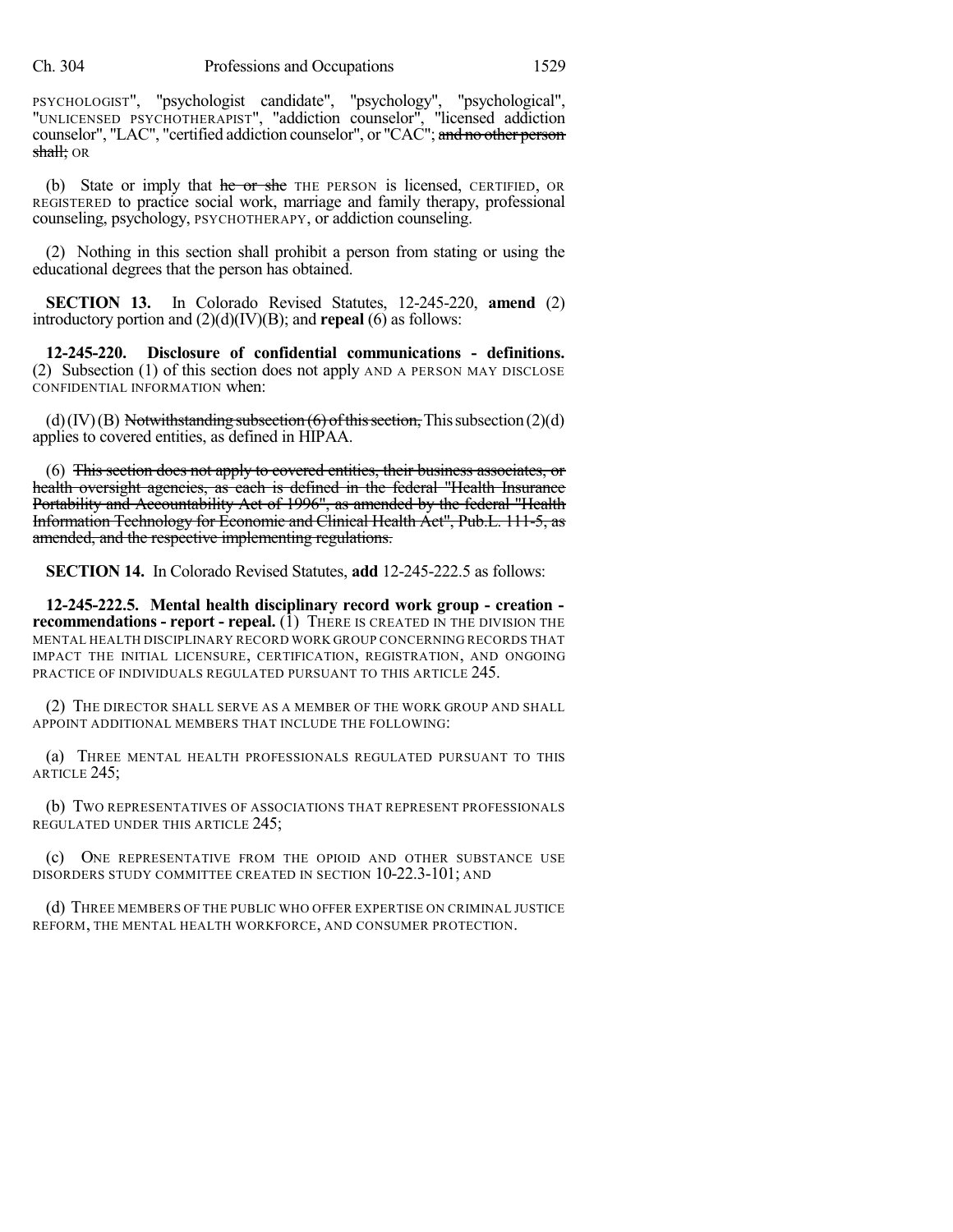PSYCHOLOGIST", "psychologist candidate", "psychology", "psychological", "UNLICENSED PSYCHOTHERAPIST", "addiction counselor", "licensed addiction counselor", "LAC", "certified addiction counselor", or "CAC"; and no other person shall; OR

(b) State or imply that he or she THE PERSON is licensed, CERTIFIED, OR REGISTERED to practice social work, marriage and family therapy, professional counseling, psychology, PSYCHOTHERAPY, or addiction counseling.

(2) Nothing in this section shall prohibit a person from stating or using the educational degrees that the person has obtained.

**SECTION 13.** In Colorado Revised Statutes, 12-245-220, **amend** (2) introductory portion and (2)(d)(IV)(B); and **repeal** (6) as follows:

**12-245-220. Disclosure of confidential communications - definitions.** (2) Subsection (1) of this section does not apply AND A PERSON MAY DISCLOSE CONFIDENTIAL INFORMATION when:

(d)(IV)(B) Notwithstanding subsection  $(6)$  of this section, This subsection (2)(d) applies to covered entities, as defined in HIPAA.

(6) This section does not apply to covered entities, their business associates, or health oversight agencies, as each is defined in the federal "Health Insurance Portability and Accountability Act of 1996", as amended by the federal "Health Information Technology for Economic and Clinical Health Act", Pub.L. 111-5, as amended, and the respective implementing regulations.

**SECTION 14.** In Colorado Revised Statutes, **add** 12-245-222.5 as follows:

**12-245-222.5. Mental health disciplinary record work group - creation recommendations - report - repeal.** (1) THERE IS CREATED IN THE DIVISION THE MENTAL HEALTH DISCIPLINARY RECORD WORK GROUP CONCERNING RECORDS THAT IMPACT THE INITIAL LICENSURE, CERTIFICATION, REGISTRATION, AND ONGOING PRACTICE OF INDIVIDUALS REGULATED PURSUANT TO THIS ARTICLE 245.

(2) THE DIRECTOR SHALL SERVE AS A MEMBER OF THE WORK GROUP AND SHALL APPOINT ADDITIONAL MEMBERS THAT INCLUDE THE FOLLOWING:

(a) THREE MENTAL HEALTH PROFESSIONALS REGULATED PURSUANT TO THIS ARTICLE 245;

(b) TWO REPRESENTATIVES OF ASSOCIATIONS THAT REPRESENT PROFESSIONALS REGULATED UNDER THIS ARTICLE 245;

(c) ONE REPRESENTATIVE FROM THE OPIOID AND OTHER SUBSTANCE USE DISORDERS STUDY COMMITTEE CREATED IN SECTION 10-22.3-101; AND

(d) THREE MEMBERS OF THE PUBLIC WHO OFFER EXPERTISE ON CRIMINAL JUSTICE REFORM, THE MENTAL HEALTH WORKFORCE, AND CONSUMER PROTECTION.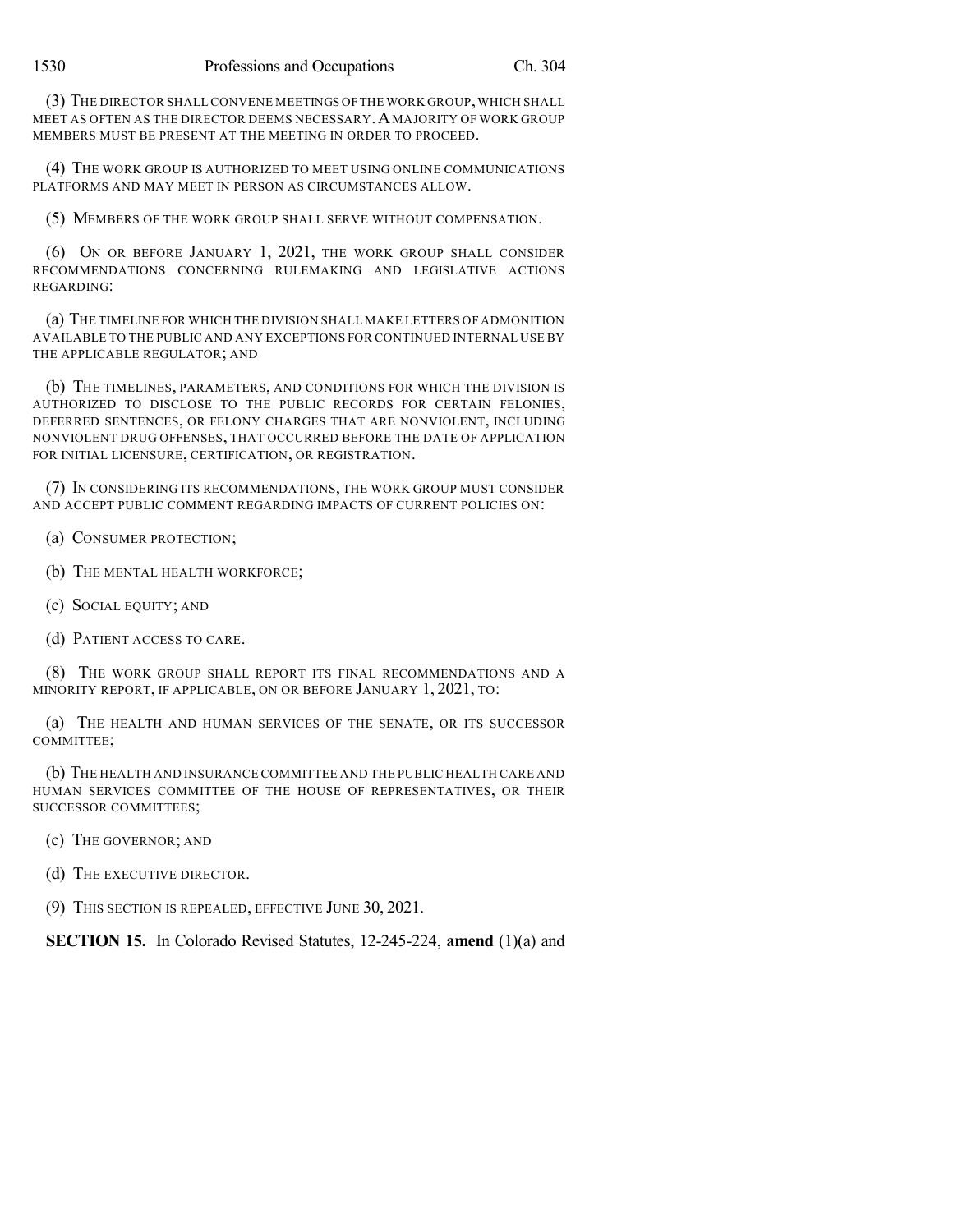(3) THE DIRECTOR SHALL CONVENE MEETINGS OFTHE WORK GROUP,WHICH SHALL MEET AS OFTEN AS THE DIRECTOR DEEMS NECESSARY. A MAJORITY OF WORK GROUP MEMBERS MUST BE PRESENT AT THE MEETING IN ORDER TO PROCEED.

(4) THE WORK GROUP IS AUTHORIZED TO MEET USING ONLINE COMMUNICATIONS PLATFORMS AND MAY MEET IN PERSON AS CIRCUMSTANCES ALLOW.

(5) MEMBERS OF THE WORK GROUP SHALL SERVE WITHOUT COMPENSATION.

(6) ON OR BEFORE JANUARY 1, 2021, THE WORK GROUP SHALL CONSIDER RECOMMENDATIONS CONCERNING RULEMAKING AND LEGISLATIVE ACTIONS REGARDING:

(a) THE TIMELINE FOR WHICH THE DIVISION SHALL MAKE LETTERS OF ADMONITION AVAILABLE TO THE PUBLIC AND ANY EXCEPTIONS FOR CONTINUED INTERNAL USE BY THE APPLICABLE REGULATOR; AND

(b) THE TIMELINES, PARAMETERS, AND CONDITIONS FOR WHICH THE DIVISION IS AUTHORIZED TO DISCLOSE TO THE PUBLIC RECORDS FOR CERTAIN FELONIES, DEFERRED SENTENCES, OR FELONY CHARGES THAT ARE NONVIOLENT, INCLUDING NONVIOLENT DRUG OFFENSES, THAT OCCURRED BEFORE THE DATE OF APPLICATION FOR INITIAL LICENSURE, CERTIFICATION, OR REGISTRATION.

(7) IN CONSIDERING ITS RECOMMENDATIONS, THE WORK GROUP MUST CONSIDER AND ACCEPT PUBLIC COMMENT REGARDING IMPACTS OF CURRENT POLICIES ON:

- (a) CONSUMER PROTECTION;
- (b) THE MENTAL HEALTH WORKFORCE;
- (c) SOCIAL EQUITY; AND
- (d) PATIENT ACCESS TO CARE.

(8) THE WORK GROUP SHALL REPORT ITS FINAL RECOMMENDATIONS AND A MINORITY REPORT, IF APPLICABLE, ON OR BEFORE JANUARY 1, 2021, TO:

(a) THE HEALTH AND HUMAN SERVICES OF THE SENATE, OR ITS SUCCESSOR COMMITTEE;

(b) THE HEALTH AND INSURANCE COMMITTEE AND THE PUBLIC HEALTH CARE AND HUMAN SERVICES COMMITTEE OF THE HOUSE OF REPRESENTATIVES, OR THEIR SUCCESSOR COMMITTEES;

- (c) THE GOVERNOR; AND
- (d) THE EXECUTIVE DIRECTOR.
- (9) THIS SECTION IS REPEALED, EFFECTIVE JUNE 30, 2021.

**SECTION 15.** In Colorado Revised Statutes, 12-245-224, **amend** (1)(a) and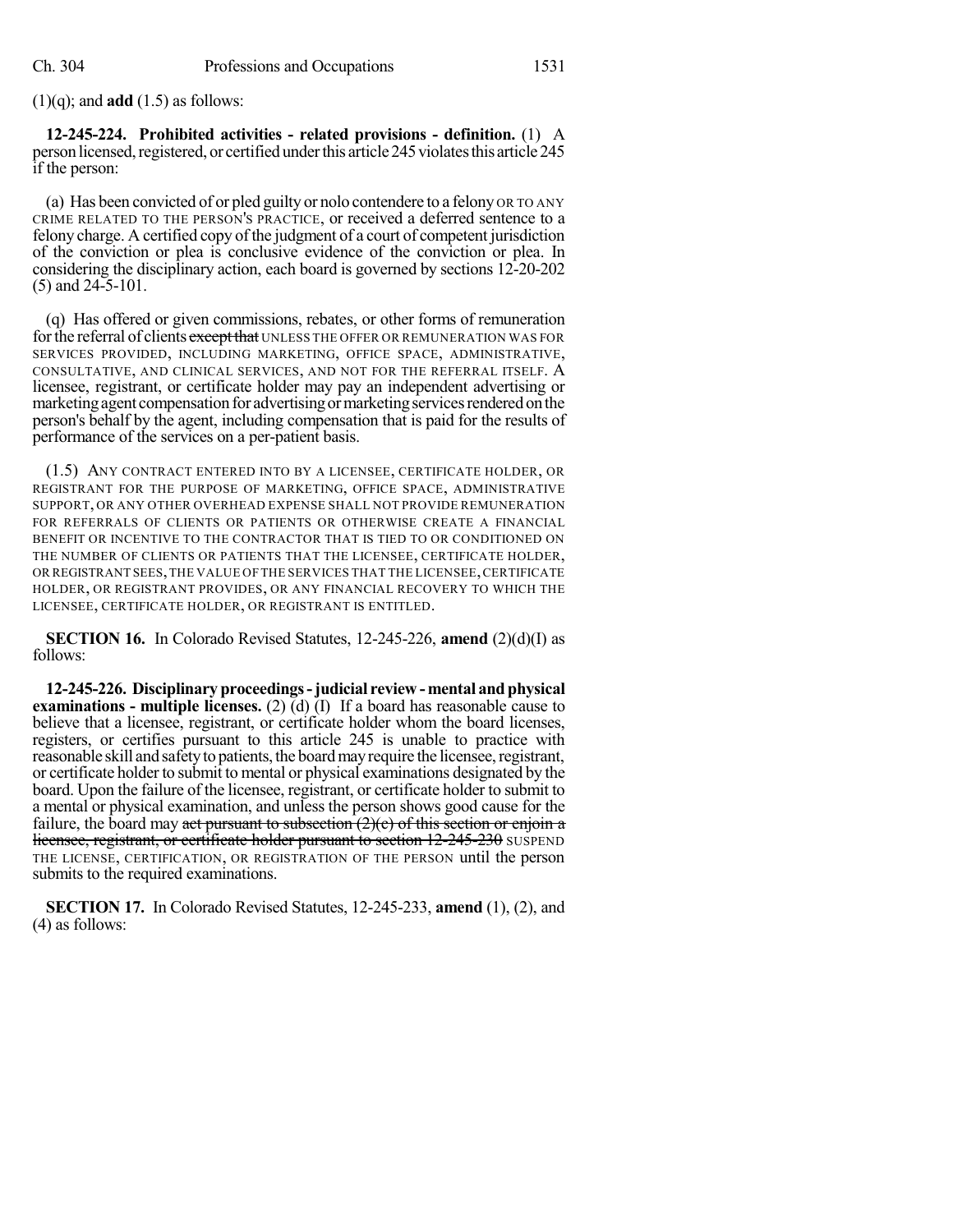(1)(q); and **add** (1.5) as follows:

**12-245-224. Prohibited activities - related provisions - definition.** (1) A person licensed, registered, or certified under this article 245 violates this article 245 if the person:

(a) Has been convicted of or pled guilty or nolo contendere to a felony OR TO ANY CRIME RELATED TO THE PERSON'S PRACTICE, or received a deferred sentence to a felony charge. A certified copy of the judgment of a court of competent jurisdiction of the conviction or plea is conclusive evidence of the conviction or plea. In considering the disciplinary action, each board is governed by sections 12-20-202 (5) and 24-5-101.

(q) Has offered or given commissions, rebates, or other forms of remuneration for the referral of clients except that UNLESS THE OFFER OR REMUNERATION WAS FOR SERVICES PROVIDED, INCLUDING MARKETING, OFFICE SPACE, ADMINISTRATIVE, CONSULTATIVE, AND CLINICAL SERVICES, AND NOT FOR THE REFERRAL ITSELF. A licensee, registrant, or certificate holder may pay an independent advertising or marketing agent compensation for advertising or marketing services rendered on the person's behalf by the agent, including compensation that is paid for the results of performance of the services on a per-patient basis.

(1.5) ANY CONTRACT ENTERED INTO BY A LICENSEE, CERTIFICATE HOLDER, OR REGISTRANT FOR THE PURPOSE OF MARKETING, OFFICE SPACE, ADMINISTRATIVE SUPPORT, OR ANY OTHER OVERHEAD EXPENSE SHALL NOT PROVIDE REMUNERATION FOR REFERRALS OF CLIENTS OR PATIENTS OR OTHERWISE CREATE A FINANCIAL BENEFIT OR INCENTIVE TO THE CONTRACTOR THAT IS TIED TO OR CONDITIONED ON THE NUMBER OF CLIENTS OR PATIENTS THAT THE LICENSEE, CERTIFICATE HOLDER, OR REGISTRANT SEES,THE VALUE OFTHE SERVICES THAT THE LICENSEE,CERTIFICATE HOLDER, OR REGISTRANT PROVIDES, OR ANY FINANCIAL RECOVERY TO WHICH THE LICENSEE, CERTIFICATE HOLDER, OR REGISTRANT IS ENTITLED.

**SECTION 16.** In Colorado Revised Statutes, 12-245-226, **amend** (2)(d)(I) as follows:

**12-245-226. Disciplinary proceedings-judicial review - mental and physical examinations - multiple licenses.** (2) (d) (I) If a board has reasonable cause to believe that a licensee, registrant, or certificate holder whom the board licenses, registers, or certifies pursuant to this article 245 is unable to practice with reasonable skill and safety to patients, the board may require the licensee, registrant, or certificate holder to submit to mental or physical examinations designated by the board. Upon the failure of the licensee, registrant, or certificate holder to submit to a mental or physical examination, and unless the person shows good cause for the failure, the board may act pursuant to subsection  $(2)(c)$  of this section or enjoin a licensee, registrant, or certificate holder pursuant to section 12-245-230 SUSPEND THE LICENSE, CERTIFICATION, OR REGISTRATION OF THE PERSON until the person submits to the required examinations.

**SECTION 17.** In Colorado Revised Statutes, 12-245-233, **amend** (1), (2), and (4) as follows: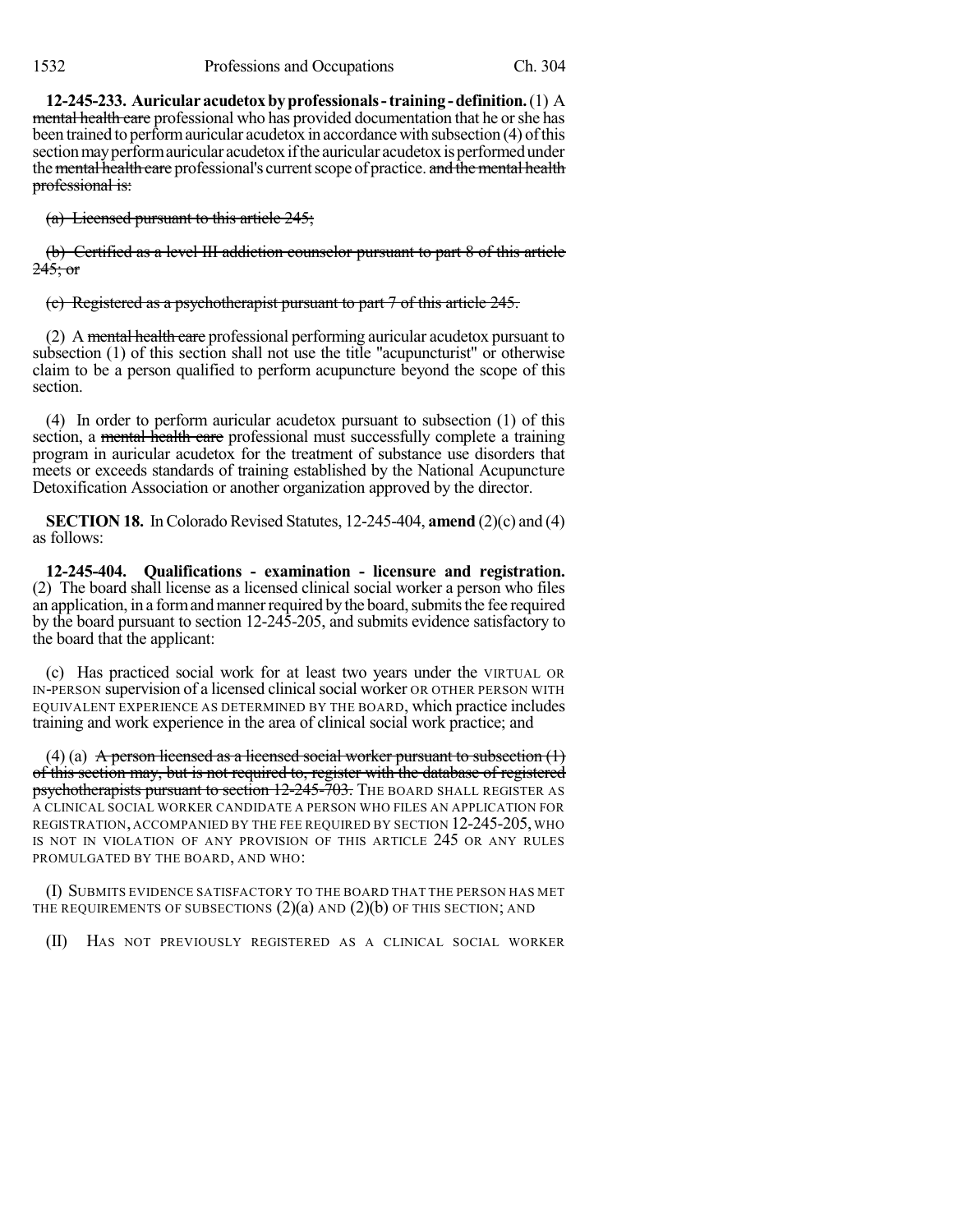**12-245-233. Auricularacudetoxbyprofessionals-training-definition.**(1) A mental health care professional who has provided documentation that he or she has been trained to performauricular acudetox in accordance with subsection (4) ofthis section may perform auricular acudetox if the auricular acudetox is performed under the mental health care professional's current scope of practice. and the mental health professional is:

(a) Licensed pursuant to this article 245;

(b) Certified as a level III addiction counselor pursuant to part 8 of this article  $245$ ; or

(c) Registered as a psychotherapist pursuant to part 7 of this article 245.

(2) A mental health care professional performing auricular acudetox pursuant to subsection (1) of this section shall not use the title "acupuncturist" or otherwise claim to be a person qualified to perform acupuncture beyond the scope of this section.

(4) In order to perform auricular acudetox pursuant to subsection (1) of this section, a mental health care professional must successfully complete a training program in auricular acudetox for the treatment of substance use disorders that meets or exceeds standards of training established by the National Acupuncture Detoxification Association or another organization approved by the director.

**SECTION 18.** In Colorado Revised Statutes, 12-245-404, **amend** (2)(c) and (4) as follows:

**12-245-404. Qualifications - examination - licensure and registration.** (2) The board shall license as a licensed clinical social worker a person who files an application, in a form and manner required by the board, submits the fee required by the board pursuant to section 12-245-205, and submits evidence satisfactory to the board that the applicant:

(c) Has practiced social work for at least two years under the VIRTUAL OR IN-PERSON supervision of a licensed clinicalsocial worker OR OTHER PERSON WITH EQUIVALENT EXPERIENCE AS DETERMINED BY THE BOARD, which practice includes training and work experience in the area of clinical social work practice; and

(4) (a) A person licensed as a licensed social worker pursuant to subsection  $(1)$ of this section may, but is not required to, register with the database of registered psychotherapists pursuant to section 12-245-703. THE BOARD SHALL REGISTER AS A CLINICAL SOCIAL WORKER CANDIDATE A PERSON WHO FILES AN APPLICATION FOR REGISTRATION, ACCOMPANIED BY THE FEE REQUIRED BY SECTION 12-245-205, WHO IS NOT IN VIOLATION OF ANY PROVISION OF THIS ARTICLE 245 OR ANY RULES PROMULGATED BY THE BOARD, AND WHO:

(I) SUBMITS EVIDENCE SATISFACTORY TO THE BOARD THAT THE PERSON HAS MET THE REQUIREMENTS OF SUBSECTIONS  $(2)(a)$  and  $(2)(b)$  of this section; and

(II) HAS NOT PREVIOUSLY REGISTERED AS A CLINICAL SOCIAL WORKER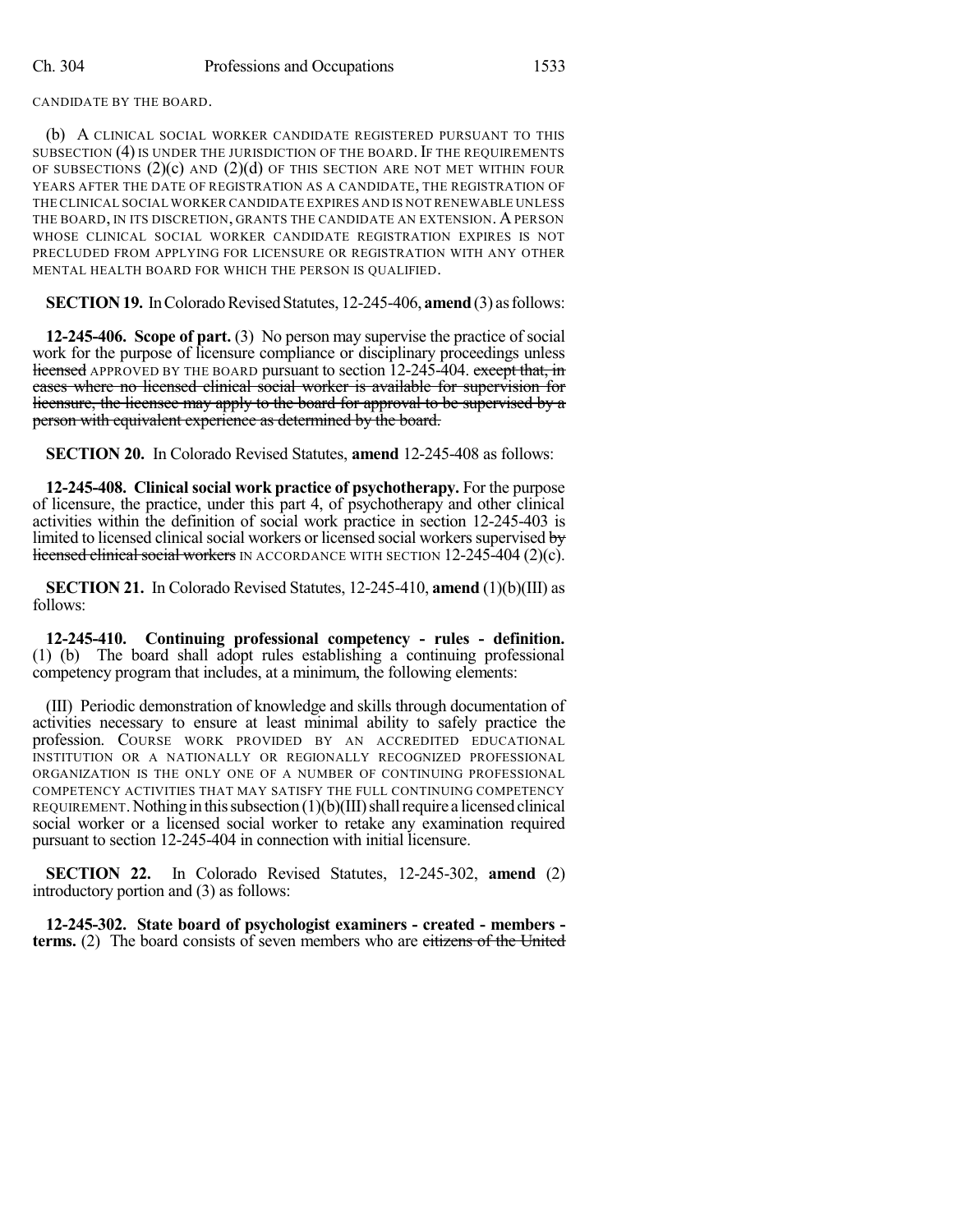CANDIDATE BY THE BOARD.

(b) A CLINICAL SOCIAL WORKER CANDIDATE REGISTERED PURSUANT TO THIS SUBSECTION (4) IS UNDER THE JURISDICTION OF THE BOARD. IF THE REQUIREMENTS OF SUBSECTIONS  $(2)(c)$  AND  $(2)(d)$  OF THIS SECTION ARE NOT MET WITHIN FOUR YEARS AFTER THE DATE OF REGISTRATION AS A CANDIDATE, THE REGISTRATION OF THE CLINICAL SOCIAL WORKER CANDIDATE EXPIRES AND IS NOT RENEWABLE UNLESS THE BOARD, IN ITS DISCRETION, GRANTS THE CANDIDATE AN EXTENSION. APERSON WHOSE CLINICAL SOCIAL WORKER CANDIDATE REGISTRATION EXPIRES IS NOT PRECLUDED FROM APPLYING FOR LICENSURE OR REGISTRATION WITH ANY OTHER MENTAL HEALTH BOARD FOR WHICH THE PERSON IS QUALIFIED.

**SECTION 19.** In Colorado Revised Statutes, 12-245-406, **amend** (3) as follows:

**12-245-406. Scope of part.** (3) No person may supervise the practice of social work for the purpose of licensure compliance or disciplinary proceedings unless licensed APPROVED BY THE BOARD pursuant to section 12-245-404. except that, in cases where no licensed clinical social worker is available for supervision for licensure, the licensee may apply to the board for approval to be supervised by a person with equivalent experience as determined by the board.

**SECTION 20.** In Colorado Revised Statutes, **amend** 12-245-408 as follows:

**12-245-408. Clinical social work practice of psychotherapy.** For the purpose of licensure, the practice, under this part 4, of psychotherapy and other clinical activities within the definition of social work practice in section 12-245-403 is limited to licensed clinical social workers or licensed social workers supervised by licensed clinical social workers IN ACCORDANCE WITH SECTION 12-245-404 (2)(c).

**SECTION 21.** In Colorado Revised Statutes, 12-245-410, **amend** (1)(b)(III) as follows:

**12-245-410. Continuing professional competency - rules - definition.** (1) (b) The board shall adopt rules establishing a continuing professional competency program that includes, at a minimum, the following elements:

(III) Periodic demonstration of knowledge and skills through documentation of activities necessary to ensure at least minimal ability to safely practice the profession. COURSE WORK PROVIDED BY AN ACCREDITED EDUCATIONAL INSTITUTION OR A NATIONALLY OR REGIONALLY RECOGNIZED PROFESSIONAL ORGANIZATION IS THE ONLY ONE OF A NUMBER OF CONTINUING PROFESSIONAL COMPETENCY ACTIVITIES THAT MAY SATISFY THE FULL CONTINUING COMPETENCY REQUIREMENT. Nothing in this subsection  $(1)(b)(III)$  shall require a licensed clinical social worker or a licensed social worker to retake any examination required pursuant to section 12-245-404 in connection with initial licensure.

**SECTION 22.** In Colorado Revised Statutes, 12-245-302, **amend** (2) introductory portion and (3) as follows:

**12-245-302. State board of psychologist examiners - created - members terms.** (2) The board consists of seven members who are citizens of the United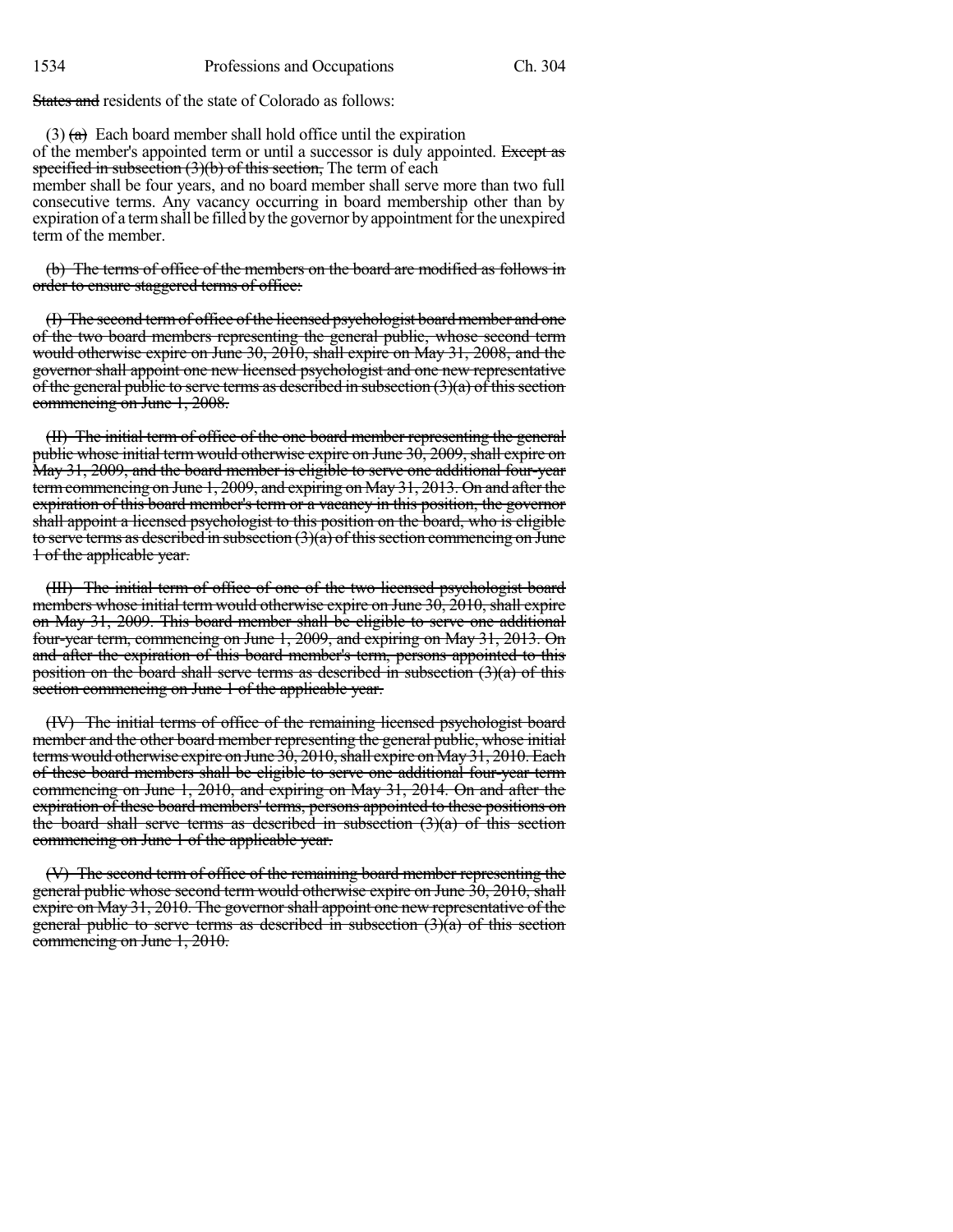States and residents of the state of Colorado as follows:

 $(3)$  (a) Each board member shall hold office until the expiration of the member's appointed term or until a successor is duly appointed. Except as specified in subsection  $(3)(b)$  of this section, The term of each member shall be four years, and no board member shall serve more than two full consecutive terms. Any vacancy occurring in board membership other than by expiration of a term shall be filled by the governor by appointment for the unexpired term of the member.

(b) The terms of office of the members on the board are modified as follows in order to ensure staggered terms of office:

(I) The second term of office of the licensed psychologist board member and one of the two board members representing the general public, whose second term would otherwise expire on June 30, 2010, shall expire on May 31, 2008, and the governor shall appoint one new licensed psychologist and one new representative of the general public to serve terms as described in subsection  $(3)(a)$  of this section commencing on June 1, 2008.

(II) The initial term of office of the one board member representing the general public whose initial term would otherwise expire on June 30, 2009, shall expire on May 31, 2009, and the board member is eligible to serve one additional four-year termcommencing on June 1, 2009, and expiring on May 31, 2013. On and after the expiration of this board member's term or a vacancy in this position, the governor shall appoint a licensed psychologist to this position on the board, who is eligible to serve terms as described in subsection  $(3)(\hat{a})$  of this section commencing on June 1 of the applicable year.

(III) The initial term of office of one of the two licensed psychologist board members whose initial term would otherwise expire on June 30, 2010, shall expire on May 31, 2009. This board member shall be eligible to serve one additional four-year term, commencing on June 1, 2009, and expiring on May 31, 2013. On and after the expiration of this board member's term, persons appointed to this position on the board shall serve terms as described in subsection  $(3)(a)$  of this section commencing on June 1 of the applicable year.

(IV) The initial terms of office of the remaining licensed psychologist board member and the other board member representing the general public, whose initial terms would otherwise expire on June  $3\dot{0}$ ,  $2010$ , shall expire on May 31, 2010. Each of these board members shall be eligible to serve one additional four-year term commencing on June 1, 2010, and expiring on May 31, 2014. On and after the expiration of these board members' terms, persons appointed to these positions on the board shall serve terms as described in subsection  $(3)(a)$  of this section commencing on June 1 of the applicable year.

(V) The second term of office of the remaining board member representing the general public whose second term would otherwise expire on June 30, 2010, shall expire on May 31, 2010. The governor shall appoint one new representative of the general public to serve terms as described in subsection  $(3)(a)$  of this section commencing on June 1, 2010.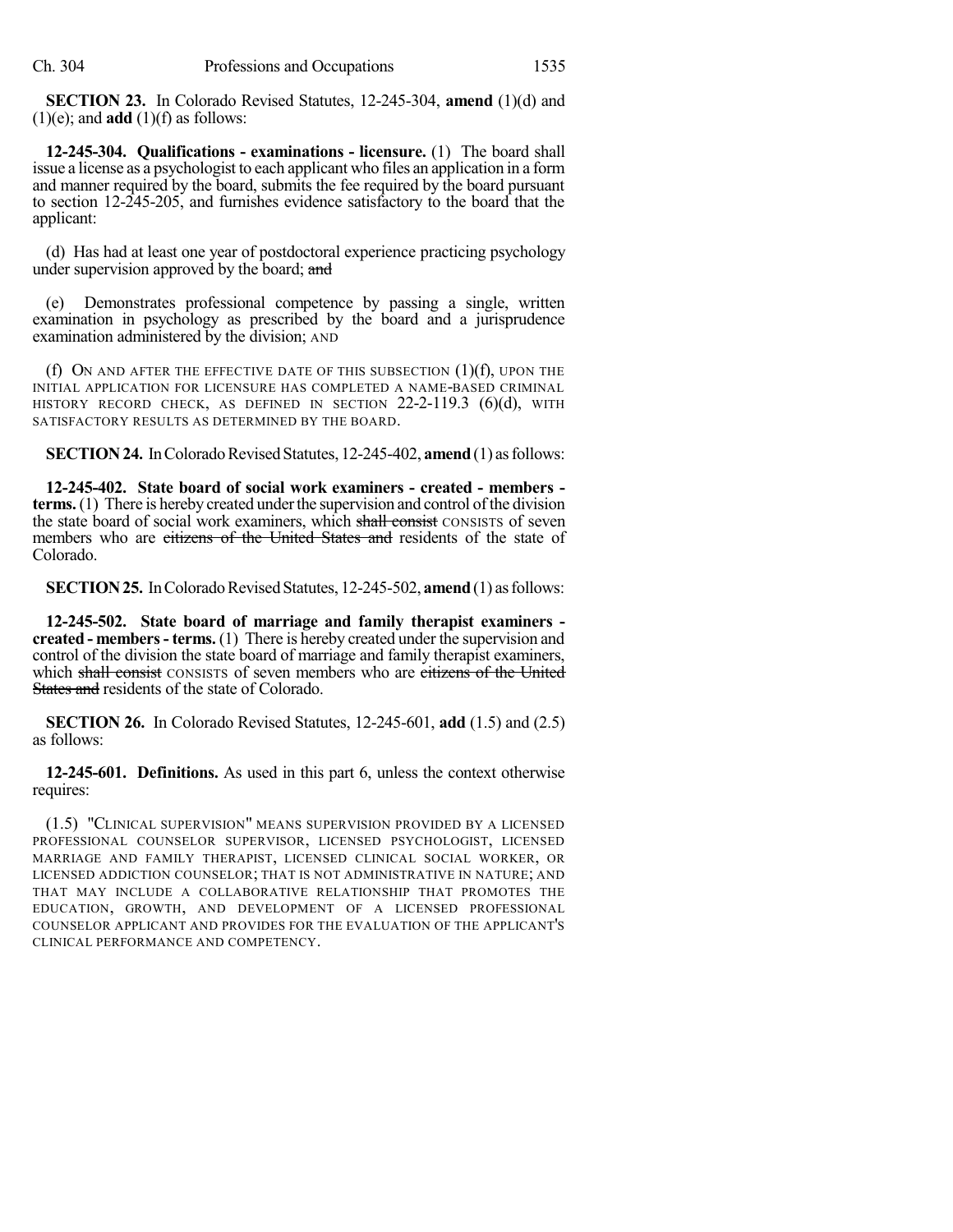**SECTION 23.** In Colorado Revised Statutes, 12-245-304, **amend** (1)(d) and  $(1)(e)$ ; and **add**  $(1)(f)$  as follows:

**12-245-304. Qualifications - examinations - licensure.** (1) The board shall issue a license as a psychologist to each applicant who files an application in a form and manner required by the board, submits the fee required by the board pursuant to section 12-245-205, and furnishes evidence satisfactory to the board that the applicant:

(d) Has had at least one year of postdoctoral experience practicing psychology under supervision approved by the board; and

(e) Demonstrates professional competence by passing a single, written examination in psychology as prescribed by the board and a jurisprudence examination administered by the division; AND

(f) ON AND AFTER THE EFFECTIVE DATE OF THIS SUBSECTION  $(1)(f)$ , UPON THE INITIAL APPLICATION FOR LICENSURE HAS COMPLETED A NAME-BASED CRIMINAL HISTORY RECORD CHECK, AS DEFINED IN SECTION 22-2-119.3 (6)(d), WITH SATISFACTORY RESULTS AS DETERMINED BY THE BOARD.

**SECTION 24.** In Colorado Revised Statutes, 12-245-402, **amend** (1) as follows:

**12-245-402. State board of social work examiners - created - members terms.** (1) There is hereby created under the supervision and control of the division the state board of social work examiners, which shall consist CONSISTS of seven members who are citizens of the United States and residents of the state of Colorado.

**SECTION 25.** In Colorado Revised Statutes, 12-245-502, **amend** (1) as follows:

**12-245-502. State board of marriage and family therapist examiners created - members- terms.** (1) There is hereby created under the supervision and control of the division the state board of marriage and family therapist examiners, which shall consist CONSISTS of seven members who are eitizens of the United States and residents of the state of Colorado.

**SECTION 26.** In Colorado Revised Statutes, 12-245-601, **add** (1.5) and (2.5) as follows:

**12-245-601. Definitions.** As used in this part 6, unless the context otherwise requires:

(1.5) "CLINICAL SUPERVISION" MEANS SUPERVISION PROVIDED BY A LICENSED PROFESSIONAL COUNSELOR SUPERVISOR, LICENSED PSYCHOLOGIST, LICENSED MARRIAGE AND FAMILY THERAPIST, LICENSED CLINICAL SOCIAL WORKER, OR LICENSED ADDICTION COUNSELOR; THAT IS NOT ADMINISTRATIVE IN NATURE; AND THAT MAY INCLUDE A COLLABORATIVE RELATIONSHIP THAT PROMOTES THE EDUCATION, GROWTH, AND DEVELOPMENT OF A LICENSED PROFESSIONAL COUNSELOR APPLICANT AND PROVIDES FOR THE EVALUATION OF THE APPLICANT'S CLINICAL PERFORMANCE AND COMPETENCY.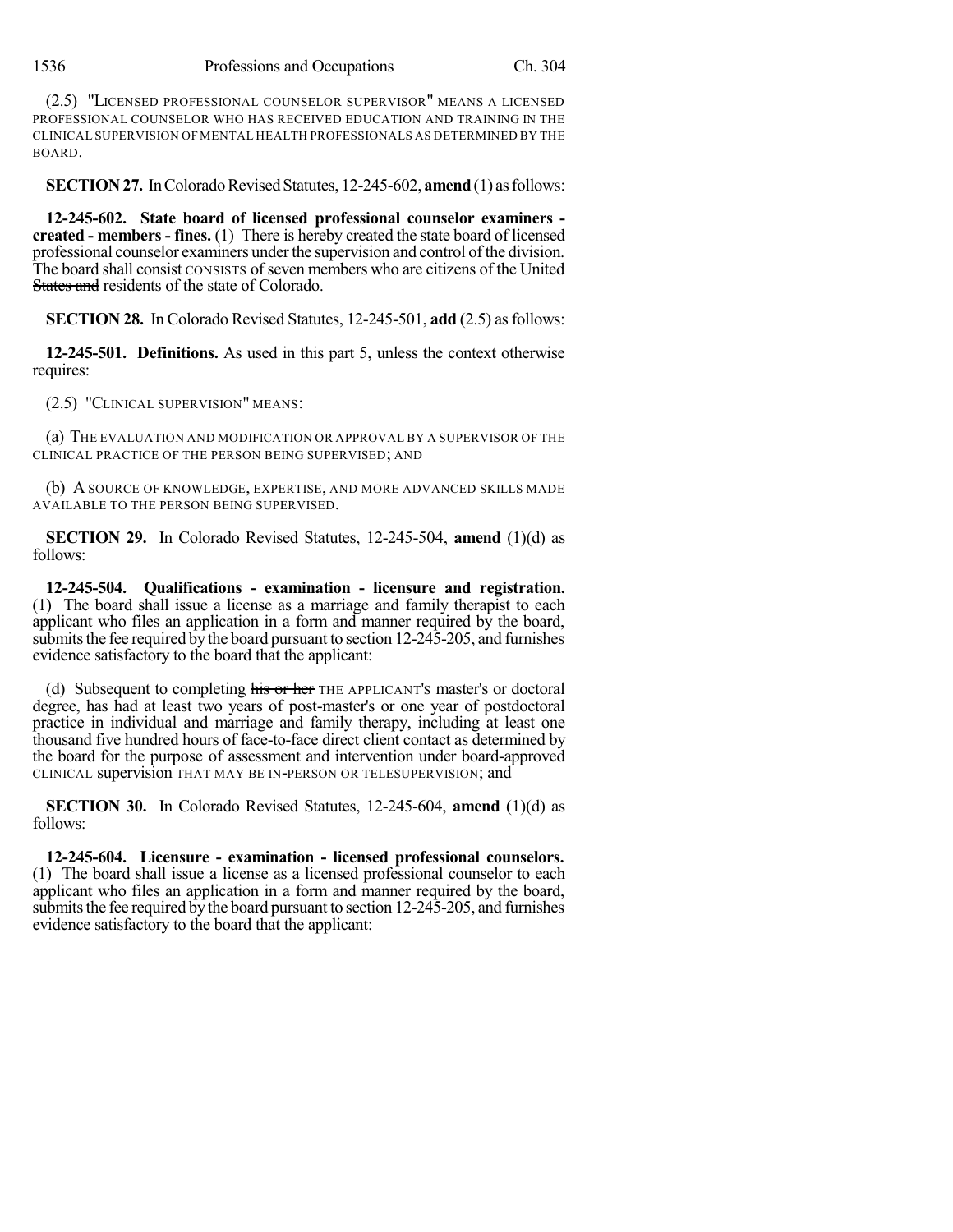(2.5) "LICENSED PROFESSIONAL COUNSELOR SUPERVISOR" MEANS A LICENSED PROFESSIONAL COUNSELOR WHO HAS RECEIVED EDUCATION AND TRAINING IN THE CLINICAL SUPERVISION OF MENTAL HEALTH PROFESSIONALS AS DETERMINED BY THE BOARD.

**SECTION 27.** In Colorado Revised Statutes, 12-245-602, **amend** (1) as follows:

**12-245-602. State board of licensed professional counselor examiners created - members - fines.** (1) There is hereby created the state board of licensed professional counselor examiners under the supervision and control of the division. The board shall consist CONSISTS of seven members who are citizens of the United States and residents of the state of Colorado.

**SECTION 28.** In Colorado Revised Statutes, 12-245-501, **add** (2.5) as follows:

**12-245-501. Definitions.** As used in this part 5, unless the context otherwise requires:

(2.5) "CLINICAL SUPERVISION" MEANS:

(a) THE EVALUATION AND MODIFICATION OR APPROVAL BY A SUPERVISOR OF THE CLINICAL PRACTICE OF THE PERSON BEING SUPERVISED; AND

(b) A SOURCE OF KNOWLEDGE, EXPERTISE, AND MORE ADVANCED SKILLS MADE AVAILABLE TO THE PERSON BEING SUPERVISED.

**SECTION 29.** In Colorado Revised Statutes, 12-245-504, **amend** (1)(d) as follows:

**12-245-504. Qualifications - examination - licensure and registration.** (1) The board shall issue a license as a marriage and family therapist to each applicant who files an application in a form and manner required by the board, submits the fee required by the board pursuant to section 12-245-205, and furnishes evidence satisfactory to the board that the applicant:

(d) Subsequent to completing his or her THE APPLICANT's master's or doctoral degree, has had at least two years of post-master's or one year of postdoctoral practice in individual and marriage and family therapy, including at least one thousand five hundred hours of face-to-face direct client contact as determined by the board for the purpose of assessment and intervention under board-approved CLINICAL supervision THAT MAY BE IN-PERSON OR TELESUPERVISION; and

**SECTION 30.** In Colorado Revised Statutes, 12-245-604, **amend** (1)(d) as follows:

**12-245-604. Licensure - examination - licensed professional counselors.** (1) The board shall issue a license as a licensed professional counselor to each applicant who files an application in a form and manner required by the board, submits the fee required by the board pursuant to section 12-245-205, and furnishes evidence satisfactory to the board that the applicant: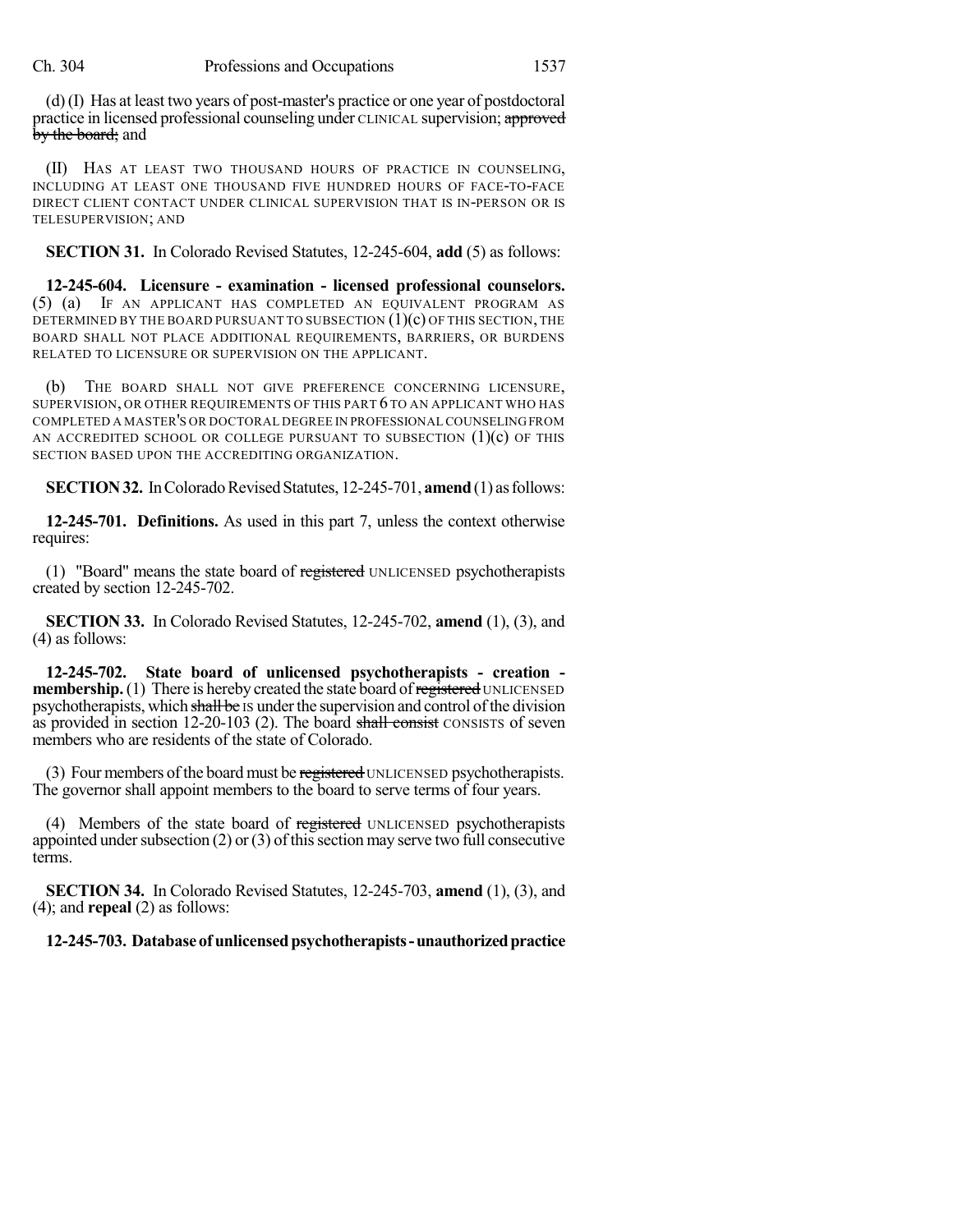(d)(I) Has at least two years of post-master's practice or one year of postdoctoral practice in licensed professional counseling under CLINICAL supervision; approved by the board; and

(II) HAS AT LEAST TWO THOUSAND HOURS OF PRACTICE IN COUNSELING, INCLUDING AT LEAST ONE THOUSAND FIVE HUNDRED HOURS OF FACE-TO-FACE DIRECT CLIENT CONTACT UNDER CLINICAL SUPERVISION THAT IS IN-PERSON OR IS TELESUPERVISION; AND

**SECTION 31.** In Colorado Revised Statutes, 12-245-604, **add** (5) as follows:

**12-245-604. Licensure - examination - licensed professional counselors.** (5) (a) IF AN APPLICANT HAS COMPLETED AN EQUIVALENT PROGRAM AS DETERMINED BY THE BOARD PURSUANT TO SUBSECTION  $(1)(c)$  OF THIS SECTION, THE BOARD SHALL NOT PLACE ADDITIONAL REQUIREMENTS, BARRIERS, OR BURDENS RELATED TO LICENSURE OR SUPERVISION ON THE APPLICANT.

(b) THE BOARD SHALL NOT GIVE PREFERENCE CONCERNING LICENSURE, SUPERVISION, OR OTHER REQUIREMENTS OF THIS PART 6 TO AN APPLICANT WHO HAS COMPLETED A MASTER'S OR DOCTORAL DEGREE IN PROFESSIONAL COUNSELINGFROM AN ACCREDITED SCHOOL OR COLLEGE PURSUANT TO SUBSECTION  $(1)(c)$  of this SECTION BASED UPON THE ACCREDITING ORGANIZATION.

**SECTION 32.** In Colorado Revised Statutes, 12-245-701, **amend** (1) as follows:

**12-245-701. Definitions.** As used in this part 7, unless the context otherwise requires:

(1) "Board" means the state board of registered UNLICENSED psychotherapists created by section 12-245-702.

**SECTION 33.** In Colorado Revised Statutes, 12-245-702, **amend** (1), (3), and (4) as follows:

**12-245-702. State board of unlicensed psychotherapists - creation membership.** (1) There is hereby created the state board of registered UNLICENSED psychotherapists, which shall be IS under the supervision and control of the division as provided in section 12-20-103 (2). The board shall consist CONSISTS of seven members who are residents of the state of Colorado.

(3) Four members of the board must be registered UNLICENSED psychotherapists. The governor shall appoint members to the board to serve terms of four years.

(4) Members of the state board of registered UNLICENSED psychotherapists appointed under subsection (2) or (3) of this section may serve two full consecutive terms.

**SECTION 34.** In Colorado Revised Statutes, 12-245-703, **amend** (1), (3), and (4); and **repeal** (2) as follows:

**12-245-703. Databaseofunlicensedpsychotherapists-unauthorizedpractice**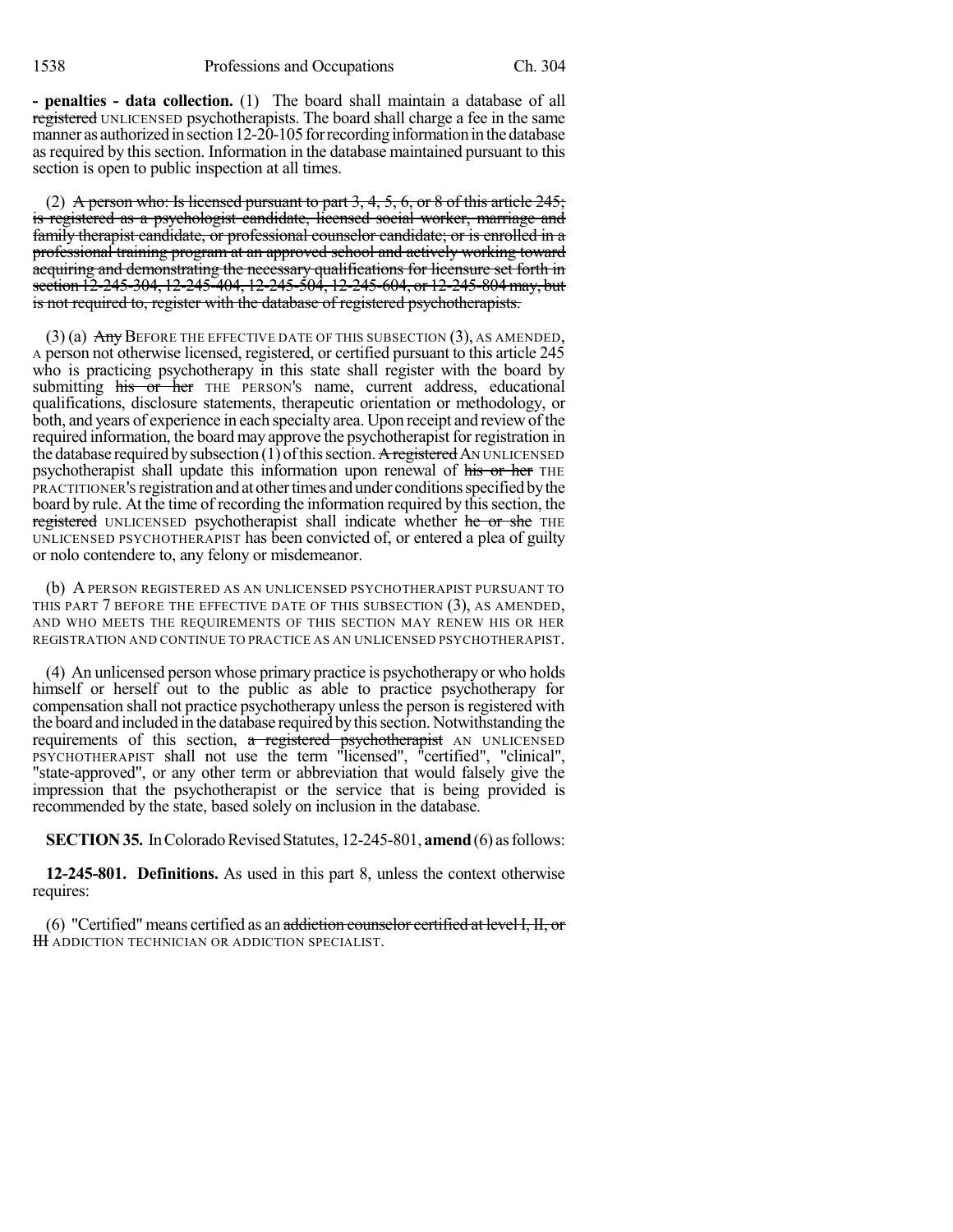**- penalties - data collection.** (1) The board shall maintain a database of all registered UNLICENSED psychotherapists. The board shall charge a fee in the same manner as authorized in section 12-20-105 for recording information in the database as required by this section. Information in the database maintained pursuant to this section is open to public inspection at all times.

(2) A person who: Is licensed pursuant to part  $3, 4, 5, 6$ , or  $8$  of this article  $245$ ; is registered as a psychologist candidate, licensed social worker, marriage and family therapist candidate, or professional counselor candidate; or is enrolled in a professional training program at an approved school and actively working toward acquiring and demonstrating the necessary qualifications for licensure set forth in section 12-245-304, 12-245-404, 12-245-504, 12-245-604, or 12-245-804 may, but is not required to, register with the database of registered psychotherapists.

 $(3)$  (a)  $\overline{Any}$  Before the effective date of this subsection  $(3)$ , as amended, A person not otherwise licensed, registered, or certified pursuant to this article 245 who is practicing psychotherapy in this state shall register with the board by submitting his or her THE PERSON's name, current address, educational qualifications, disclosure statements, therapeutic orientation or methodology, or both, and years of experience in each specialty area. Upon receipt and review of the required information, the board may approve the psychotherapist for registration in the database required by subsection  $(1)$  of this section. A registered AN UNLICENSED psychotherapist shall update this information upon renewal of his or her THE PRACTITIONER's registration and at other times and under conditions specified by the board by rule. At the time of recording the information required by this section, the registered UNLICENSED psychotherapist shall indicate whether he or she THE UNLICENSED PSYCHOTHERAPIST has been convicted of, or entered a plea of guilty or nolo contendere to, any felony or misdemeanor.

(b) A PERSON REGISTERED AS AN UNLICENSED PSYCHOTHERAPIST PURSUANT TO THIS PART 7 BEFORE THE EFFECTIVE DATE OF THIS SUBSECTION (3), AS AMENDED, AND WHO MEETS THE REQUIREMENTS OF THIS SECTION MAY RENEW HIS OR HER REGISTRATION AND CONTINUE TO PRACTICE AS AN UNLICENSED PSYCHOTHERAPIST.

(4) An unlicensed person whose primary practice is psychotherapy or who holds himself or herself out to the public as able to practice psychotherapy for compensation shall not practice psychotherapy unless the person is registered with the board and included in the database requiredbythissection. Notwithstanding the requirements of this section, a registered psychotherapist AN UNLICENSED PSYCHOTHERAPIST shall not use the term "licensed", "certified", "clinical", "state-approved", or any other term or abbreviation that would falsely give the impression that the psychotherapist or the service that is being provided is recommended by the state, based solely on inclusion in the database.

**SECTION 35.** In Colorado Revised Statutes, 12-245-801, **amend** (6) as follows:

**12-245-801. Definitions.** As used in this part 8, unless the context otherwise requires:

(6) "Certified" means certified as an addiction counselor certified at level I, II, or **III** ADDICTION TECHNICIAN OR ADDICTION SPECIALIST.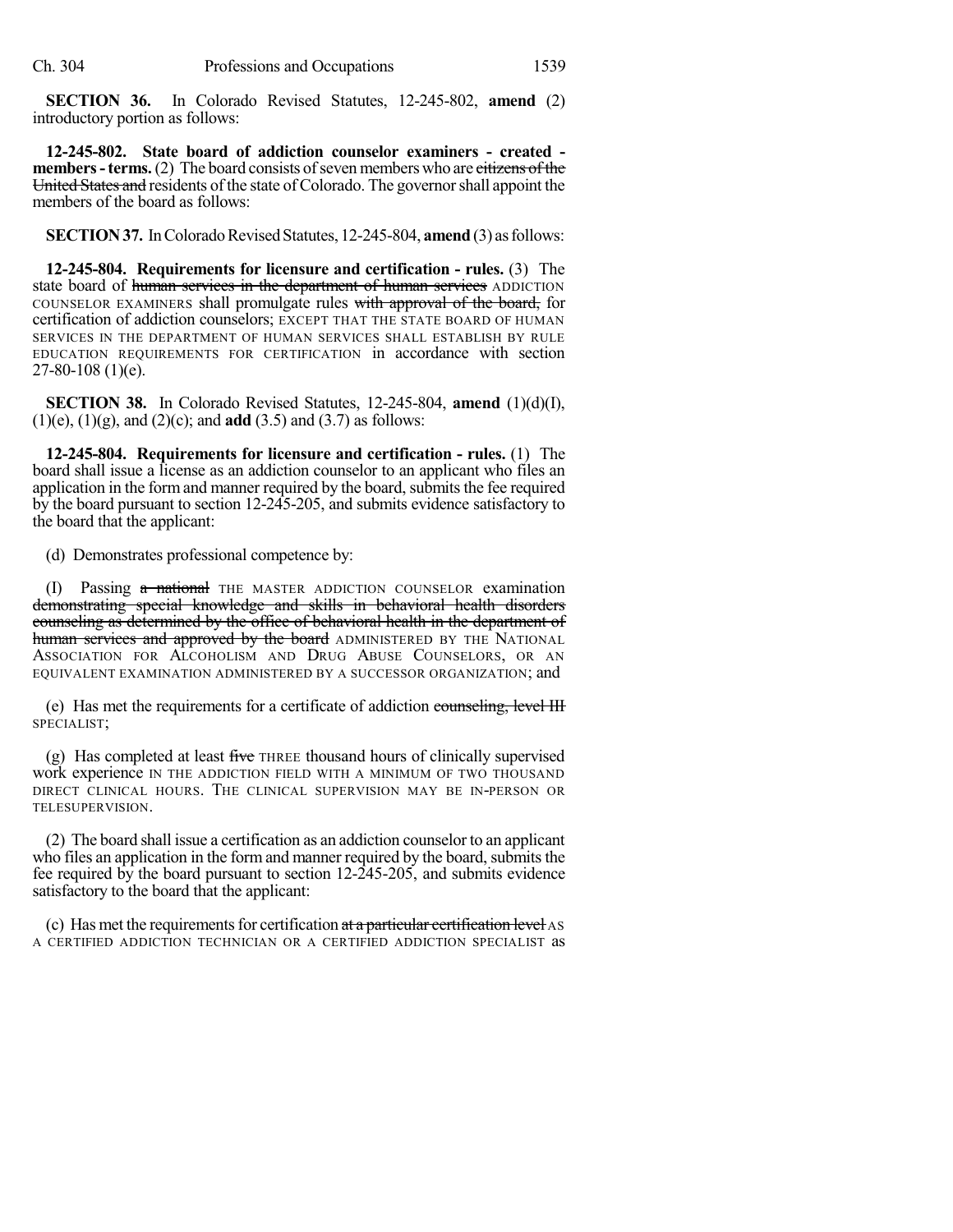**SECTION 36.** In Colorado Revised Statutes, 12-245-802, **amend** (2) introductory portion as follows:

**12-245-802. State board of addiction counselor examiners - created members - terms.** (2) The board consists of seven members who are citizens of the United States and residents of the state of Colorado. The governor shall appoint the members of the board as follows:

**SECTION 37.** In Colorado Revised Statutes, 12-245-804, **amend** (3) as follows:

**12-245-804. Requirements for licensure and certification - rules.** (3) The state board of human services in the department of human services ADDICTION COUNSELOR EXAMINERS shall promulgate rules with approval of the board, for certification of addiction counselors; EXCEPT THAT THE STATE BOARD OF HUMAN SERVICES IN THE DEPARTMENT OF HUMAN SERVICES SHALL ESTABLISH BY RULE EDUCATION REQUIREMENTS FOR CERTIFICATION in accordance with section 27-80-108 (1)(e).

**SECTION 38.** In Colorado Revised Statutes, 12-245-804, **amend** (1)(d)(I), (1)(e), (1)(g), and (2)(c); and **add** (3.5) and (3.7) as follows:

**12-245-804. Requirements for licensure and certification - rules.** (1) The board shall issue a license as an addiction counselor to an applicant who files an application in the form and manner required by the board, submits the fee required by the board pursuant to section 12-245-205, and submits evidence satisfactory to the board that the applicant:

(d) Demonstrates professional competence by:

(I) Passing a national THE MASTER ADDICTION COUNSELOR examination demonstrating special knowledge and skills in behavioral health disorders counseling as determined by the office of behavioral health in the department of human services and approved by the board ADMINISTERED BY THE NATIONAL ASSOCIATION FOR ALCOHOLISM AND DRUG ABUSE COUNSELORS, OR AN EQUIVALENT EXAMINATION ADMINISTERED BY A SUCCESSOR ORGANIZATION; and

(e) Has met the requirements for a certificate of addiction counseling, level III SPECIALIST;

(g) Has completed at least five THREE thousand hours of clinically supervised work experience IN THE ADDICTION FIELD WITH A MINIMUM OF TWO THOUSAND DIRECT CLINICAL HOURS. THE CLINICAL SUPERVISION MAY BE IN-PERSON OR TELESUPERVISION.

(2) The board shall issue a certification as an addiction counselor to an applicant who files an application in the form and manner required by the board, submits the fee required by the board pursuant to section 12-245-205, and submits evidence satisfactory to the board that the applicant:

(c) Has met the requirements for certification  $at a$  particular certification level AS A CERTIFIED ADDICTION TECHNICIAN OR A CERTIFIED ADDICTION SPECIALIST as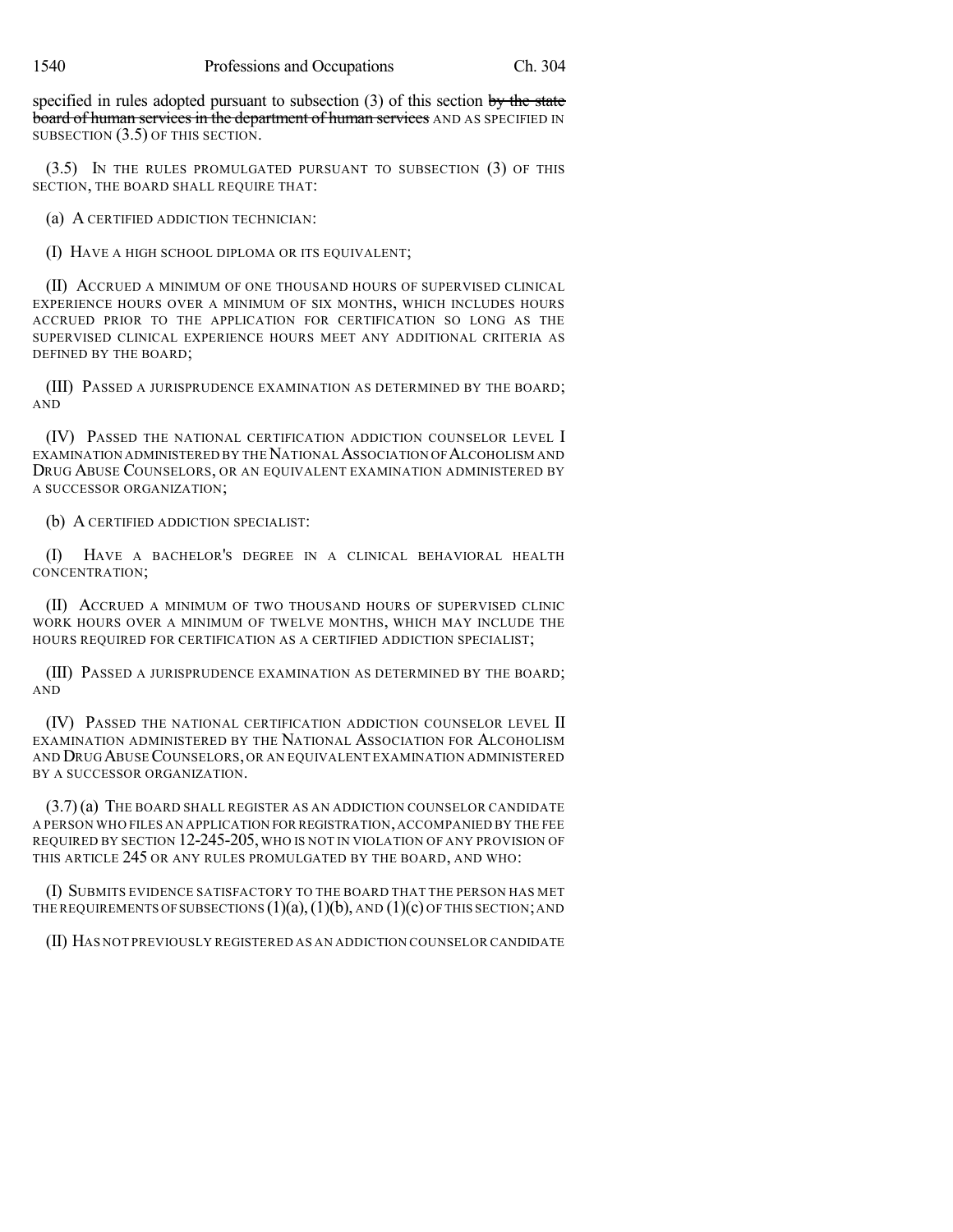specified in rules adopted pursuant to subsection  $(3)$  of this section by the state board of human services in the department of human services AND AS SPECIFIED IN SUBSECTION (3.5) OF THIS SECTION.

(3.5) IN THE RULES PROMULGATED PURSUANT TO SUBSECTION (3) OF THIS SECTION, THE BOARD SHALL REQUIRE THAT:

(a) A CERTIFIED ADDICTION TECHNICIAN:

(I) HAVE A HIGH SCHOOL DIPLOMA OR ITS EQUIVALENT;

(II) ACCRUED A MINIMUM OF ONE THOUSAND HOURS OF SUPERVISED CLINICAL EXPERIENCE HOURS OVER A MINIMUM OF SIX MONTHS, WHICH INCLUDES HOURS ACCRUED PRIOR TO THE APPLICATION FOR CERTIFICATION SO LONG AS THE SUPERVISED CLINICAL EXPERIENCE HOURS MEET ANY ADDITIONAL CRITERIA AS DEFINED BY THE BOARD;

(III) PASSED A JURISPRUDENCE EXAMINATION AS DETERMINED BY THE BOARD; AND

(IV) PASSED THE NATIONAL CERTIFICATION ADDICTION COUNSELOR LEVEL I EXAMINATION ADMINISTERED BY THE NATIONAL ASSOCIATION OF ALCOHOLISM AND DRUG ABUSE COUNSELORS, OR AN EQUIVALENT EXAMINATION ADMINISTERED BY A SUCCESSOR ORGANIZATION;

(b) A CERTIFIED ADDICTION SPECIALIST:

(I) HAVE A BACHELOR'S DEGREE IN A CLINICAL BEHAVIORAL HEALTH CONCENTRATION;

(II) ACCRUED A MINIMUM OF TWO THOUSAND HOURS OF SUPERVISED CLINIC WORK HOURS OVER A MINIMUM OF TWELVE MONTHS, WHICH MAY INCLUDE THE HOURS REQUIRED FOR CERTIFICATION AS A CERTIFIED ADDICTION SPECIALIST;

(III) PASSED A JURISPRUDENCE EXAMINATION AS DETERMINED BY THE BOARD; AND

(IV) PASSED THE NATIONAL CERTIFICATION ADDICTION COUNSELOR LEVEL II EXAMINATION ADMINISTERED BY THE NATIONAL ASSOCIATION FOR ALCOHOLISM AND DRUG ABUSECOUNSELORS, OR AN EQUIVALENT EXAMINATION ADMINISTERED BY A SUCCESSOR ORGANIZATION.

(3.7)(a) THE BOARD SHALL REGISTER AS AN ADDICTION COUNSELOR CANDIDATE A PERSON WHO FILES AN APPLICATION FOR REGISTRATION,ACCOMPANIED BY THE FEE REQUIRED BY SECTION 12-245-205, WHO IS NOT IN VIOLATION OF ANY PROVISION OF THIS ARTICLE 245 OR ANY RULES PROMULGATED BY THE BOARD, AND WHO:

(I) SUBMITS EVIDENCE SATISFACTORY TO THE BOARD THAT THE PERSON HAS MET THE REQUIREMENTS OF SUBSECTIONS  $(1)(a)$ ,  $(1)(b)$ , AND  $(1)(c)$  OF THIS SECTION; AND

(II) HAS NOT PREVIOUSLY REGISTERED AS AN ADDICTION COUNSELOR CANDIDATE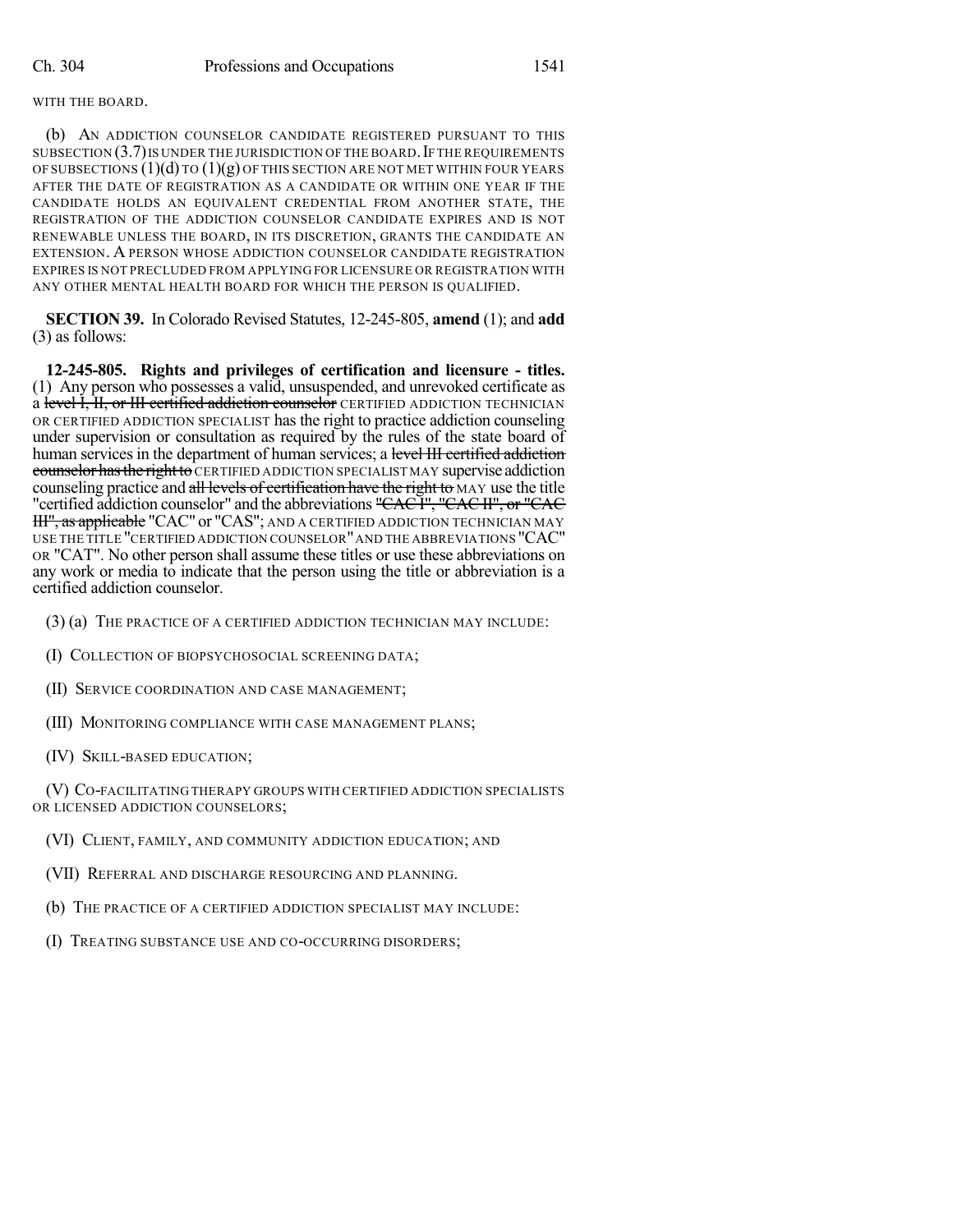## WITH THE BOARD.

(b) AN ADDICTION COUNSELOR CANDIDATE REGISTERED PURSUANT TO THIS SUBSECTION  $(3.7)$  is under the jurisdiction of the board. If the requirements OF SUBSECTIONS  $(1)(d)$  TO  $(1)(g)$  OF THIS SECTION ARE NOT MET WITHIN FOUR YEARS AFTER THE DATE OF REGISTRATION AS A CANDIDATE OR WITHIN ONE YEAR IF THE CANDIDATE HOLDS AN EQUIVALENT CREDENTIAL FROM ANOTHER STATE, THE REGISTRATION OF THE ADDICTION COUNSELOR CANDIDATE EXPIRES AND IS NOT RENEWABLE UNLESS THE BOARD, IN ITS DISCRETION, GRANTS THE CANDIDATE AN EXTENSION. A PERSON WHOSE ADDICTION COUNSELOR CANDIDATE REGISTRATION EXPIRES IS NOT PRECLUDED FROM APPLYING FOR LICENSURE OR REGISTRATION WITH ANY OTHER MENTAL HEALTH BOARD FOR WHICH THE PERSON IS QUALIFIED.

**SECTION 39.** In Colorado Revised Statutes, 12-245-805, **amend** (1); and **add** (3) as follows:

**12-245-805. Rights and privileges of certification and licensure - titles.** (1) Any person who possesses a valid, unsuspended, and unrevoked certificate as a level I, II, or III certified addiction counselor CERTIFIED ADDICTION TECHNICIAN OR CERTIFIED ADDICTION SPECIALIST has the right to practice addiction counseling under supervision or consultation as required by the rules of the state board of human services in the department of human services; a level III certified addiction counselor has the right to CERTIFIED ADDICTION SPECIALIST MAY supervise addiction counseling practice and all levels of certification have the right to MAY use the title "certified addiction counselor" and the abbreviations "CAC I", "CAC II", or "CAC HI", as applicable "CAC" or "CAS"; AND A CERTIFIED ADDICTION TECHNICIAN MAY USE THE TITLE "CERTIFIED ADDICTION COUNSELOR"AND THE ABBREVIATIONS "CAC" OR "CAT". No other person shall assume these titles or use these abbreviations on any work or media to indicate that the person using the title or abbreviation is a certified addiction counselor.

- (3) (a) THE PRACTICE OF A CERTIFIED ADDICTION TECHNICIAN MAY INCLUDE:
- (I) COLLECTION OF BIOPSYCHOSOCIAL SCREENING DATA;
- (II) SERVICE COORDINATION AND CASE MANAGEMENT;
- (III) MONITORING COMPLIANCE WITH CASE MANAGEMENT PLANS;
- (IV) SKILL-BASED EDUCATION;

(V) CO-FACILITATING THERAPY GROUPS WITH CERTIFIED ADDICTION SPECIALISTS OR LICENSED ADDICTION COUNSELORS;

- (VI) CLIENT, FAMILY, AND COMMUNITY ADDICTION EDUCATION; AND
- (VII) REFERRAL AND DISCHARGE RESOURCING AND PLANNING.
- (b) THE PRACTICE OF A CERTIFIED ADDICTION SPECIALIST MAY INCLUDE:
- (I) TREATING SUBSTANCE USE AND CO-OCCURRING DISORDERS;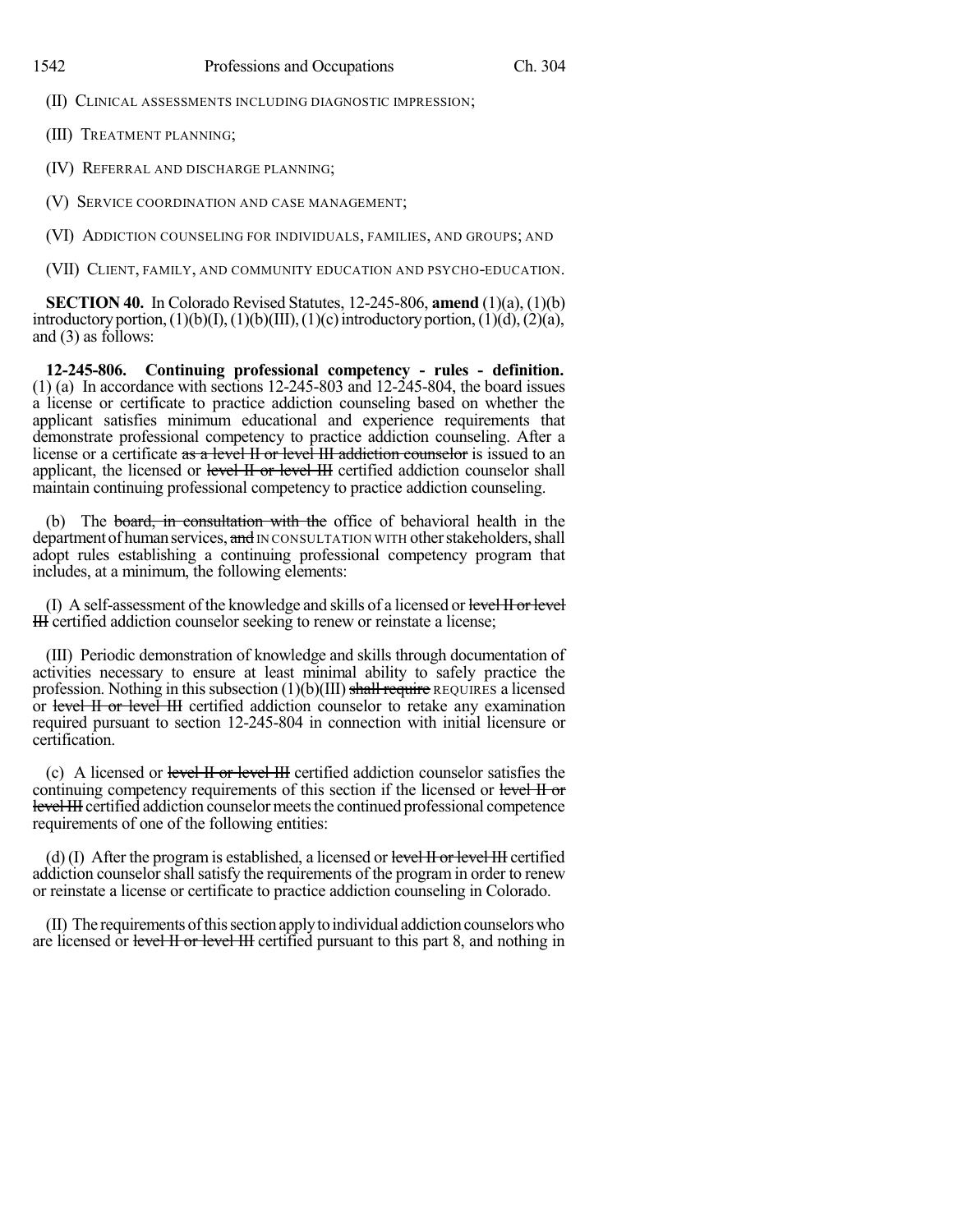(II) CLINICAL ASSESSMENTS INCLUDING DIAGNOSTIC IMPRESSION;

(III) TREATMENT PLANNING;

(IV) REFERRAL AND DISCHARGE PLANNING;

(V) SERVICE COORDINATION AND CASE MANAGEMENT;

(VI) ADDICTION COUNSELING FOR INDIVIDUALS, FAMILIES, AND GROUPS; AND

(VII) CLIENT, FAMILY, AND COMMUNITY EDUCATION AND PSYCHO-EDUCATION.

**SECTION 40.** In Colorado Revised Statutes, 12-245-806, **amend** (1)(a), (1)(b) introductory portion,  $(1)(b)(I), (1)(b)(III), (1)(c)$  introductory portion,  $(1)(d), (2)(a),$ and (3) as follows:

**12-245-806. Continuing professional competency - rules - definition.** (1) (a) In accordance with sections  $12-245-803$  and  $12-245-804$ , the board issues a license or certificate to practice addiction counseling based on whether the applicant satisfies minimum educational and experience requirements that demonstrate professional competency to practice addiction counseling. After a license or a certificate as a level II or level III addiction counselor is issued to an applicant, the licensed or level II or level III certified addiction counselor shall maintain continuing professional competency to practice addiction counseling.

(b) The board, in consultation with the office of behavioral health in the department of human services, and IN CONSULTATION WITH other stakeholders, shall adopt rules establishing a continuing professional competency program that includes, at a minimum, the following elements:

(I) A self-assessment of the knowledge and skills of a licensed or level II or level III certified addiction counselor seeking to renew or reinstate a license;

(III) Periodic demonstration of knowledge and skills through documentation of activities necessary to ensure at least minimal ability to safely practice the profession. Nothing in this subsection  $(1)(b)(III)$  shall require REQUIRES a licensed or level II or level III certified addiction counselor to retake any examination required pursuant to section 12-245-804 in connection with initial licensure or certification.

(c) A licensed or level II or level III certified addiction counselor satisfies the continuing competency requirements of this section if the licensed or level II or level III certified addiction counselor meets the continued professional competence requirements of one of the following entities:

(d)  $(I)$  After the program is established, a licensed or level  $H$  or level  $H$  certified addiction counselor shall satisfy the requirements of the program in order to renew or reinstate a license or certificate to practice addiction counseling in Colorado.

(II) The requirements ofthissectionapplytoindividual addictioncounselorswho are licensed or level II or level III certified pursuant to this part 8, and nothing in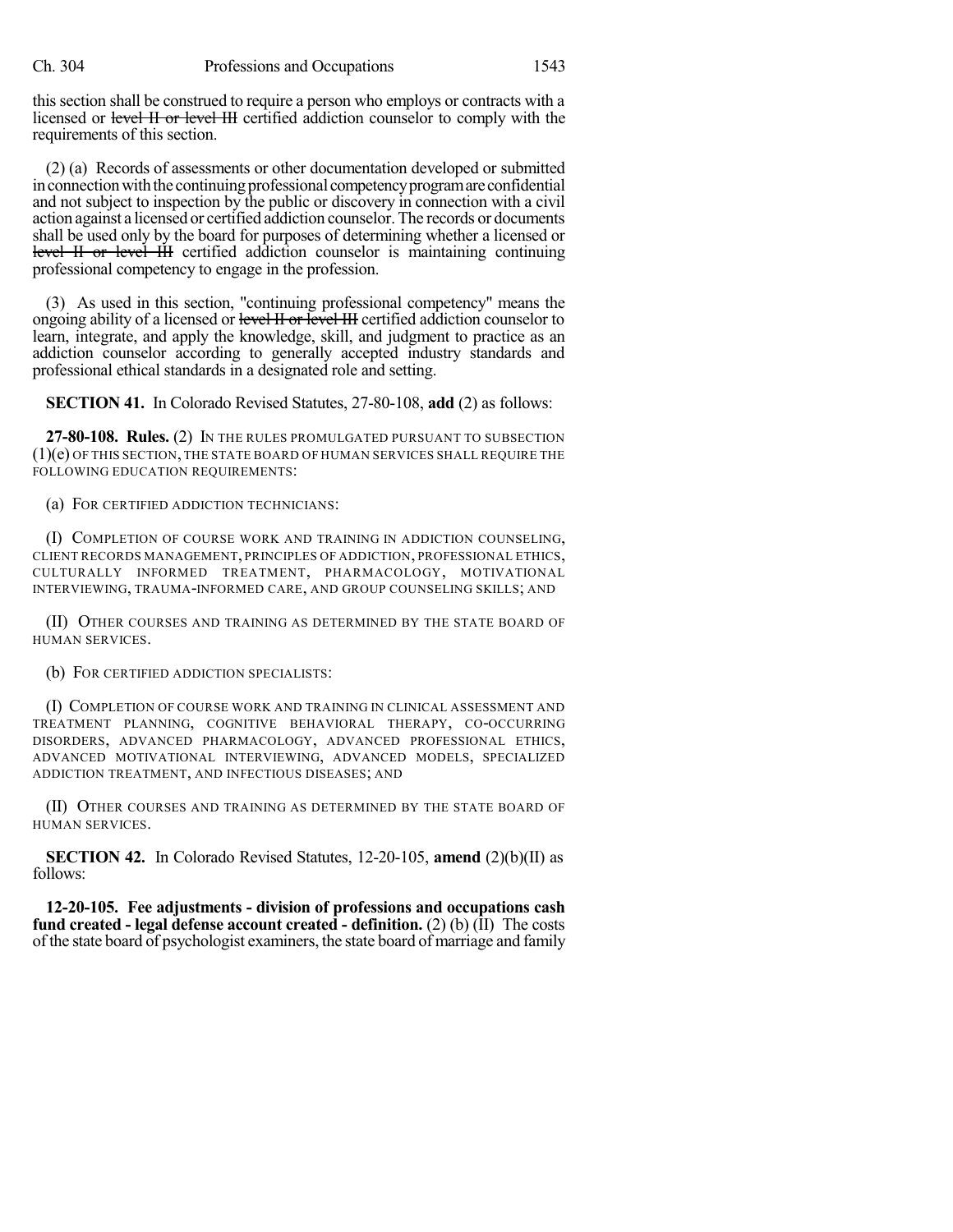this section shall be construed to require a person who employs or contracts with a licensed or level II or level III certified addiction counselor to comply with the requirements of this section.

(2) (a) Records of assessments or other documentation developed or submitted in connection with the continuing professional competency program are confidential and not subject to inspection by the public or discovery in connection with a civil action against a licensed or certified addiction counselor. The records or documents shall be used only by the board for purposes of determining whether a licensed or level II or level III certified addiction counselor is maintaining continuing professional competency to engage in the profession.

(3) As used in this section, "continuing professional competency" means the ongoing ability of a licensed or level II or level III certified addiction counselor to learn, integrate, and apply the knowledge, skill, and judgment to practice as an addiction counselor according to generally accepted industry standards and professional ethical standards in a designated role and setting.

**SECTION 41.** In Colorado Revised Statutes, 27-80-108, **add** (2) as follows:

**27-80-108. Rules.** (2) IN THE RULES PROMULGATED PURSUANT TO SUBSECTION (1)(e) OF THIS SECTION, THE STATE BOARD OF HUMAN SERVICES SHALL REQUIRE THE FOLLOWING EDUCATION REQUIREMENTS:

(a) FOR CERTIFIED ADDICTION TECHNICIANS:

(I) COMPLETION OF COURSE WORK AND TRAINING IN ADDICTION COUNSELING, CLIENT RECORDS MANAGEMENT, PRINCIPLES OF ADDICTION, PROFESSIONAL ETHICS, CULTURALLY INFORMED TREATMENT, PHARMACOLOGY, MOTIVATIONAL INTERVIEWING, TRAUMA-INFORMED CARE, AND GROUP COUNSELING SKILLS; AND

(II) OTHER COURSES AND TRAINING AS DETERMINED BY THE STATE BOARD OF HUMAN SERVICES.

(b) FOR CERTIFIED ADDICTION SPECIALISTS:

(I) COMPLETION OF COURSE WORK AND TRAINING IN CLINICAL ASSESSMENT AND TREATMENT PLANNING, COGNITIVE BEHAVIORAL THERAPY, CO-OCCURRING DISORDERS, ADVANCED PHARMACOLOGY, ADVANCED PROFESSIONAL ETHICS, ADVANCED MOTIVATIONAL INTERVIEWING, ADVANCED MODELS, SPECIALIZED ADDICTION TREATMENT, AND INFECTIOUS DISEASES; AND

(II) OTHER COURSES AND TRAINING AS DETERMINED BY THE STATE BOARD OF HUMAN SERVICES.

**SECTION 42.** In Colorado Revised Statutes, 12-20-105, **amend** (2)(b)(II) as follows:

**12-20-105. Fee adjustments - division of professions and occupations cash fund created - legal defense account created - definition.** (2) (b) (II) The costs of the state board of psychologist examiners, the state board of marriage and family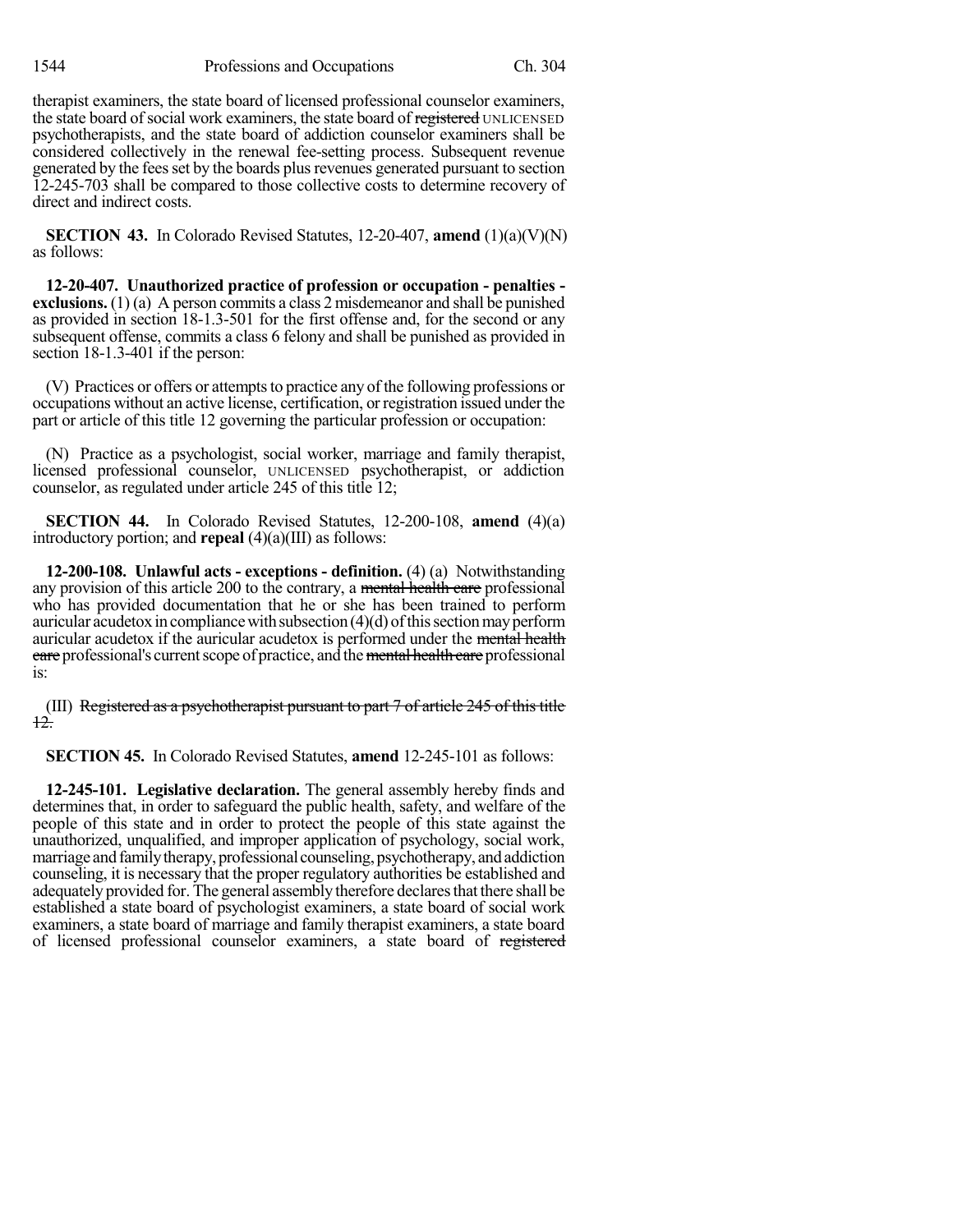therapist examiners, the state board of licensed professional counselor examiners, the state board of social work examiners, the state board of registered UNLICENSED psychotherapists, and the state board of addiction counselor examiners shall be considered collectively in the renewal fee-setting process. Subsequent revenue generated by the fees set by the boards plus revenues generated pursuant to section 12-245-703 shall be compared to those collective costs to determine recovery of direct and indirect costs.

**SECTION 43.** In Colorado Revised Statutes, 12-20-407, **amend** (1)(a)(V)(N) as follows:

**12-20-407. Unauthorized practice of profession or occupation - penalties exclusions.** (1) (a) A person commits a class 2 misdemeanor and shall be punished as provided in section 18-1.3-501 for the first offense and, for the second or any subsequent offense, commits a class 6 felony and shall be punished as provided in section 18-1.3-401 if the person:

(V) Practices or offers or attempts to practice any of the following professions or occupations without an active license, certification, orregistration issued under the part or article of this title 12 governing the particular profession or occupation:

(N) Practice as a psychologist, social worker, marriage and family therapist, licensed professional counselor, UNLICENSED psychotherapist, or addiction counselor, as regulated under article 245 of this title 12;

**SECTION 44.** In Colorado Revised Statutes, 12-200-108, **amend** (4)(a) introductory portion; and **repeal** (4)(a)(III) as follows:

**12-200-108. Unlawful acts - exceptions - definition.** (4) (a) Notwithstanding any provision of this article 200 to the contrary, a mental health care professional who has provided documentation that he or she has been trained to perform auricular acudetox in compliance with subsection  $(4)(d)$  of this section may perform auricular acudetox if the auricular acudetox is performed under the mental health eare professional's current scope of practice, and the mental health care professional is:

(III) Registered as a psychotherapist pursuant to part 7 of article 245 of this title 12.

**SECTION 45.** In Colorado Revised Statutes, **amend** 12-245-101 as follows:

**12-245-101. Legislative declaration.** The general assembly hereby finds and determines that, in order to safeguard the public health, safety, and welfare of the people of this state and in order to protect the people of this state against the unauthorized, unqualified, and improper application of psychology, social work, marriage and family therapy, professional counseling, psychotherapy, and addiction counseling, it is necessary that the proper regulatory authorities be established and adequately provided for. The general assembly therefore declares that there shall be established a state board of psychologist examiners, a state board of social work examiners, a state board of marriage and family therapist examiners, a state board of licensed professional counselor examiners, a state board of registered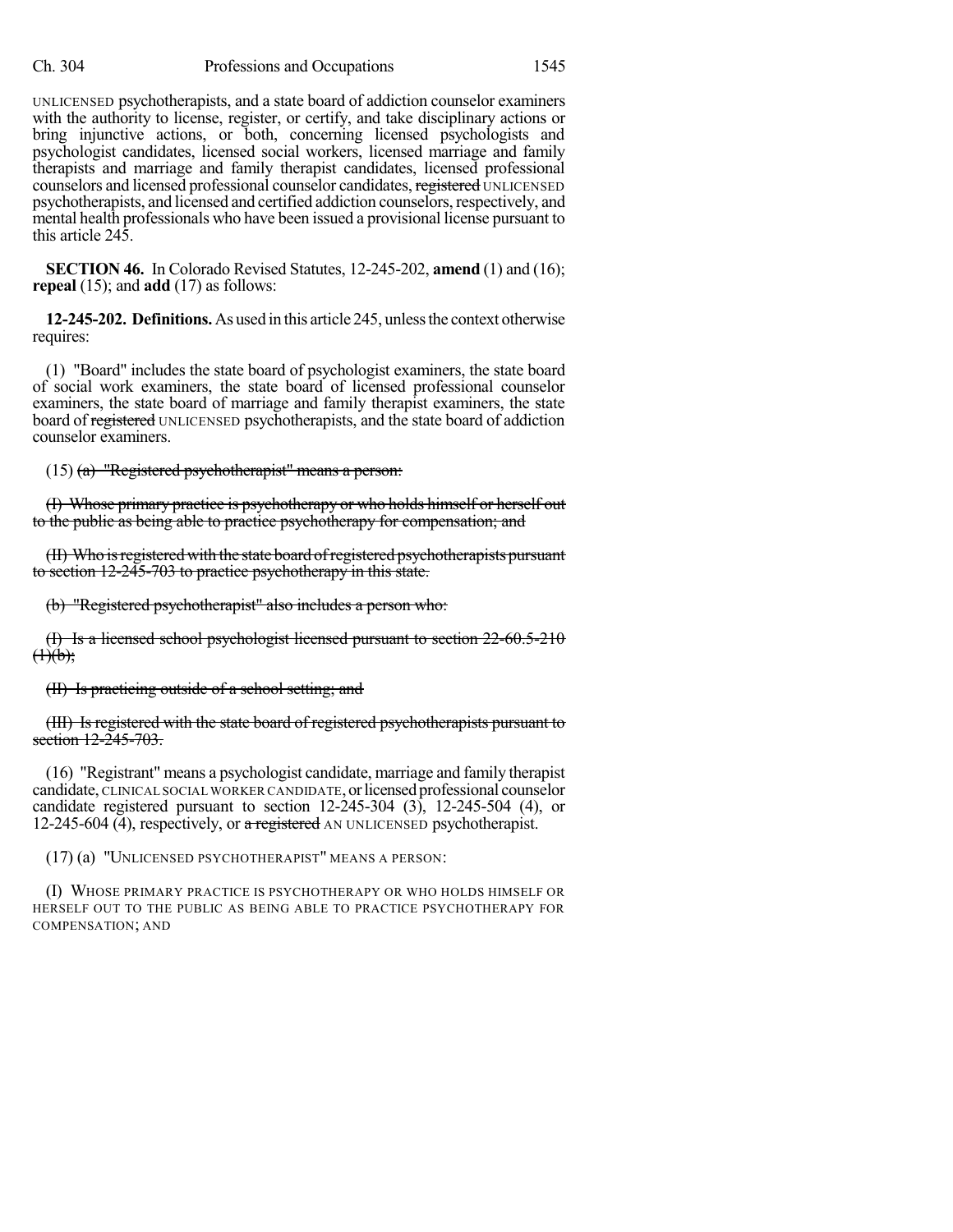UNLICENSED psychotherapists, and a state board of addiction counselor examiners with the authority to license, register, or certify, and take disciplinary actions or bring injunctive actions, or both, concerning licensed psychologists and psychologist candidates, licensed social workers, licensed marriage and family therapists and marriage and family therapist candidates, licensed professional counselors and licensed professional counselor candidates, registered UNLICENSED psychotherapists, and licensed and certified addiction counselors,respectively, and mental health professionals who have been issued a provisional license pursuant to this article 245.

**SECTION 46.** In Colorado Revised Statutes, 12-245-202, **amend** (1) and (16); **repeal** (15); and **add** (17) as follows:

**12-245-202. Definitions.**As used in this article 245, unlessthe context otherwise requires:

(1) "Board" includes the state board of psychologist examiners, the state board of social work examiners, the state board of licensed professional counselor examiners, the state board of marriage and family therapist examiners, the state board of registered UNLICENSED psychotherapists, and the state board of addiction counselor examiners.

(15) (a) "Registered psychotherapist" means a person:

(I) Whose primary practice is psychotherapy or who holds himself or herself out to the public as being able to practice psychotherapy for compensation; and

(II) Who isregistered with the state board ofregistered psychotherapists pursuant to section 12-245-703 to practice psychotherapy in this state.

(b) "Registered psychotherapist" also includes a person who:

(I) Is a licensed school psychologist licensed pursuant to section 22-60.5-210  $(1)(b)$ ;

(II) Is practicing outside of a school setting; and

(III) Is registered with the state board of registered psychotherapists pursuant to section 12-245-703.

(16) "Registrant" means a psychologist candidate, marriage and family therapist candidate, CLINICAL SOCIAL WORKER CANDIDATE, or licensed professional counselor candidate registered pursuant to section  $12-245-304$  (3),  $12-245-504$  (4), or 12-245-604 (4), respectively, or a registered AN UNLICENSED psychotherapist.

(17) (a) "UNLICENSED PSYCHOTHERAPIST" MEANS A PERSON:

(I) WHOSE PRIMARY PRACTICE IS PSYCHOTHERAPY OR WHO HOLDS HIMSELF OR HERSELF OUT TO THE PUBLIC AS BEING ABLE TO PRACTICE PSYCHOTHERAPY FOR COMPENSATION; AND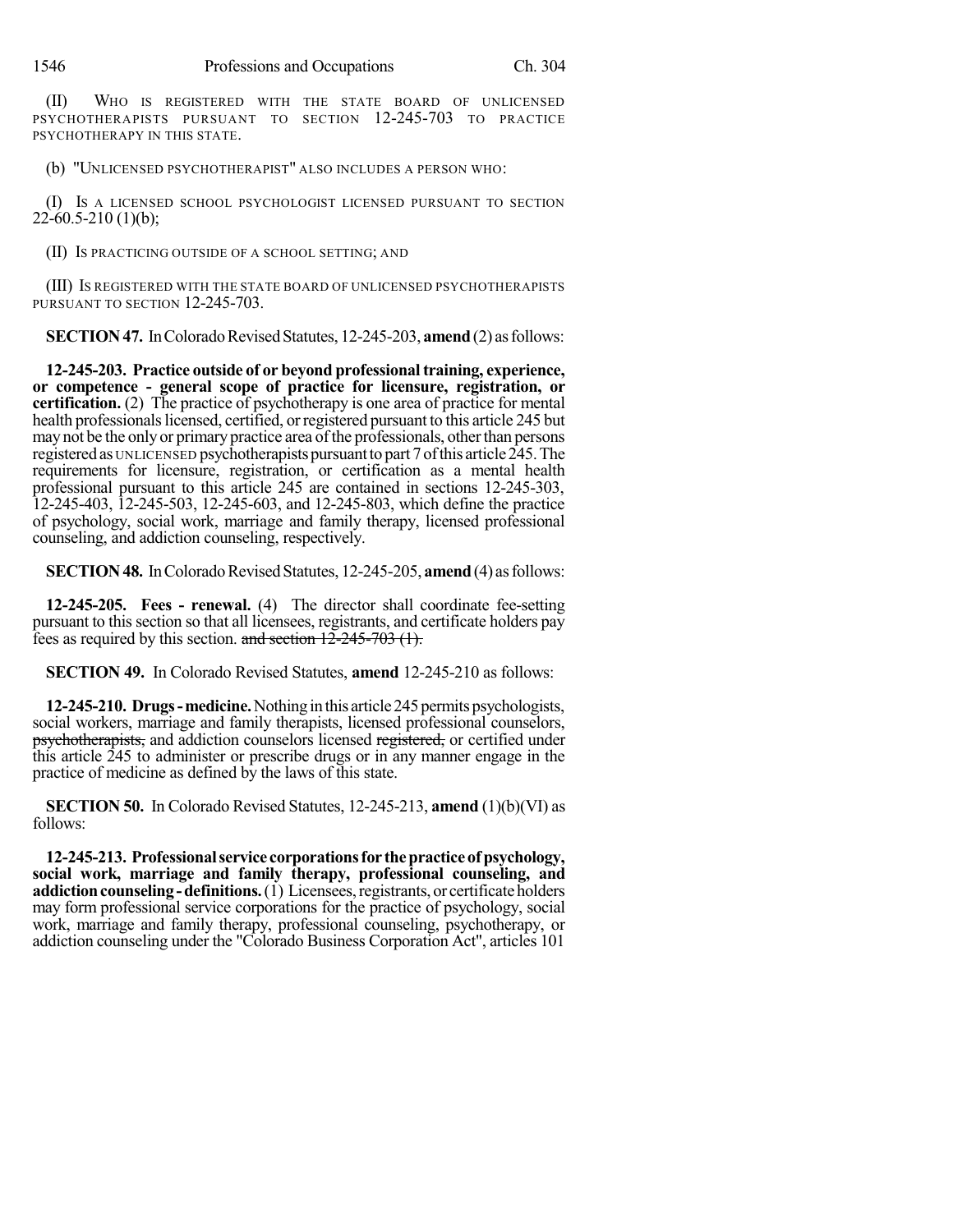(II) WHO IS REGISTERED WITH THE STATE BOARD OF UNLICENSED PSYCHOTHERAPISTS PURSUANT TO SECTION 12-245-703 TO PRACTICE PSYCHOTHERAPY IN THIS STATE.

(b) "UNLICENSED PSYCHOTHERAPIST" ALSO INCLUDES A PERSON WHO:

(I) IS A LICENSED SCHOOL PSYCHOLOGIST LICENSED PURSUANT TO SECTION  $22-60.5-210(1)(b);$ 

(II) IS PRACTICING OUTSIDE OF A SCHOOL SETTING; AND

(III) IS REGISTERED WITH THE STATE BOARD OF UNLICENSED PSYCHOTHERAPISTS PURSUANT TO SECTION 12-245-703.

**SECTION 47.** In Colorado Revised Statutes, 12-245-203, **amend** (2) as follows:

**12-245-203. Practice outside of or beyond professionaltraining, experience, or competence - general scope of practice for licensure, registration, or certification.** (2) The practice of psychotherapy is one area of practice for mental health professionals licensed, certified, or registered pursuant to this article 245 but may not be the only or primary practice area of the professionals, other than persons registered as UNLICENSED psychotherapists pursuant to part 7 of this article 245. The requirements for licensure, registration, or certification as a mental health professional pursuant to this article 245 are contained in sections 12-245-303, 12-245-403, 12-245-503, 12-245-603, and 12-245-803, which define the practice of psychology, social work, marriage and family therapy, licensed professional counseling, and addiction counseling, respectively.

**SECTION 48.** In Colorado Revised Statutes, 12-245-205, **amend** (4) as follows:

**12-245-205. Fees - renewal.** (4) The director shall coordinate fee-setting pursuant to this section so that all licensees, registrants, and certificate holders pay fees as required by this section. and section  $12\overline{-245} - 703$  (1).

**SECTION 49.** In Colorado Revised Statutes, **amend** 12-245-210 as follows:

**12-245-210. Drugs-medicine.** Nothing in this article 245 permits psychologists, social workers, marriage and family therapists, licensed professional counselors, psychotherapists, and addiction counselors licensed registered, or certified under this article 245 to administer or prescribe drugs or in any manner engage in the practice of medicine as defined by the laws of this state.

**SECTION 50.** In Colorado Revised Statutes, 12-245-213, **amend** (1)(b)(VI) as follows:

**12-245-213. Professionalservice corporationsfor thepracticeofpsychology, social work, marriage and family therapy, professional counseling, and addiction counseling - definitions.** (1) Licensees, registrants, or certificate holders may form professional service corporations for the practice of psychology, social work, marriage and family therapy, professional counseling, psychotherapy, or addiction counseling under the "Colorado Business Corporation Act", articles 101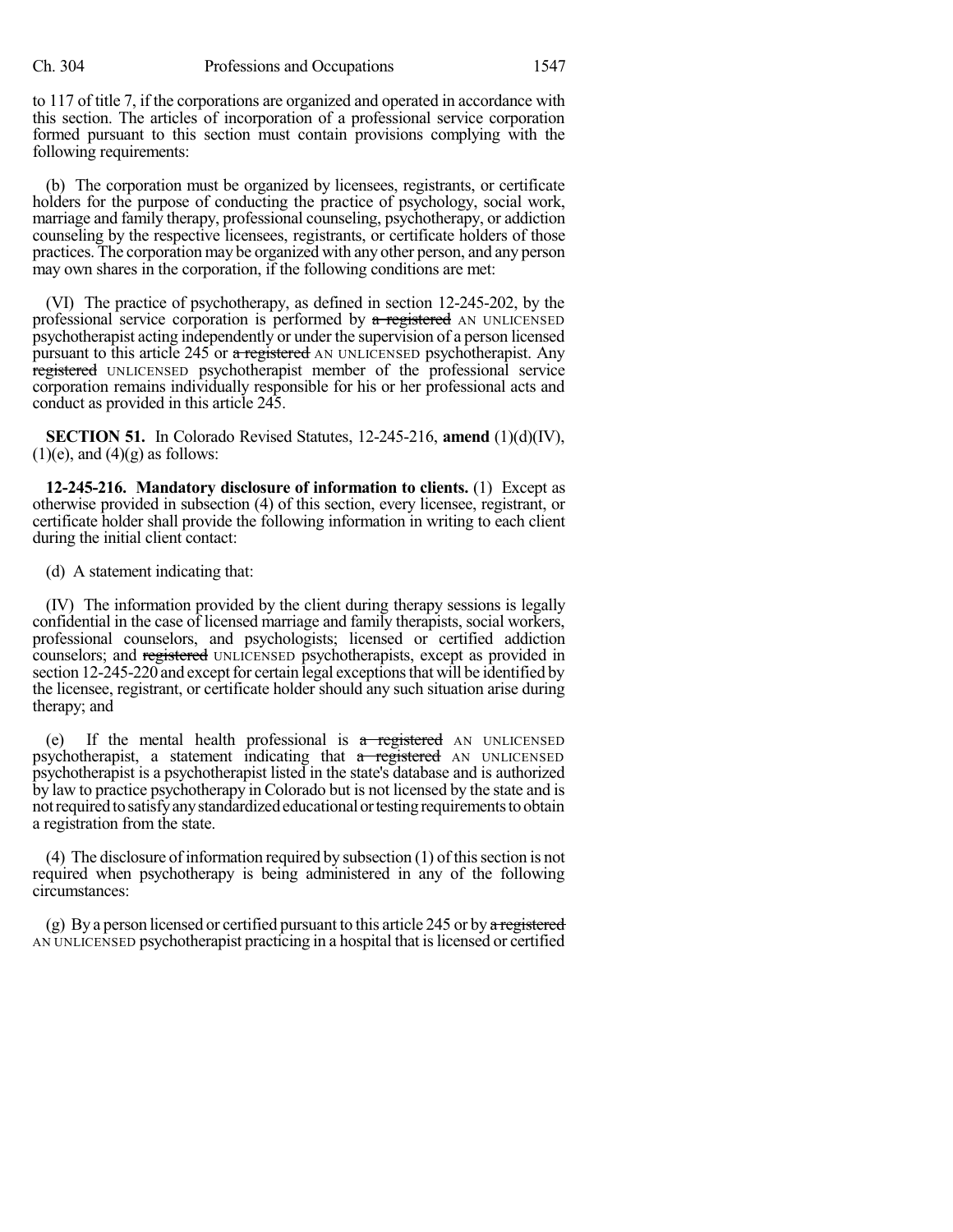to 117 of title 7, if the corporations are organized and operated in accordance with this section. The articles of incorporation of a professional service corporation formed pursuant to this section must contain provisions complying with the following requirements:

(b) The corporation must be organized by licensees, registrants, or certificate holders for the purpose of conducting the practice of psychology, social work, marriage and family therapy, professional counseling, psychotherapy, or addiction counseling by the respective licensees, registrants, or certificate holders of those practices. The corporation may be organized with any other person, and any person may own shares in the corporation, if the following conditions are met:

(VI) The practice of psychotherapy, as defined in section 12-245-202, by the professional service corporation is performed by a registered AN UNLICENSED psychotherapist acting independently or under the supervision of a person licensed pursuant to this article 245 or a registered AN UNLICENSED psychotherapist. Any registered UNLICENSED psychotherapist member of the professional service corporation remains individually responsible for his or her professional acts and conduct as provided in this article 245.

**SECTION 51.** In Colorado Revised Statutes, 12-245-216, **amend** (1)(d)(IV),  $(1)(e)$ , and  $(4)(g)$  as follows:

**12-245-216. Mandatory disclosure of information to clients.** (1) Except as otherwise provided in subsection (4) of this section, every licensee, registrant, or certificate holder shall provide the following information in writing to each client during the initial client contact:

(d) A statement indicating that:

(IV) The information provided by the client during therapy sessions is legally confidential in the case of licensed marriage and family therapists, social workers, professional counselors, and psychologists; licensed or certified addiction counselors; and registered UNLICENSED psychotherapists, except as provided in section 12-245-220 and except for certain legal exceptions that will be identified by the licensee, registrant, or certificate holder should any such situation arise during therapy; and

(e) If the mental health professional is  $a$  registered AN UNLICENSED psychotherapist, a statement indicating that a registered AN UNLICENSED psychotherapist is a psychotherapist listed in the state's database and is authorized by law to practice psychotherapy in Colorado but is not licensed by the state and is not required to satisfy any standardized educational or testing requirements to obtain a registration from the state.

 $(4)$  The disclosure of information required by subsection  $(1)$  of this section is not required when psychotherapy is being administered in any of the following circumstances:

(g) By a person licensed or certified pursuant to this article 245 or by a registered AN UNLICENSED psychotherapist practicing in a hospital that islicensed or certified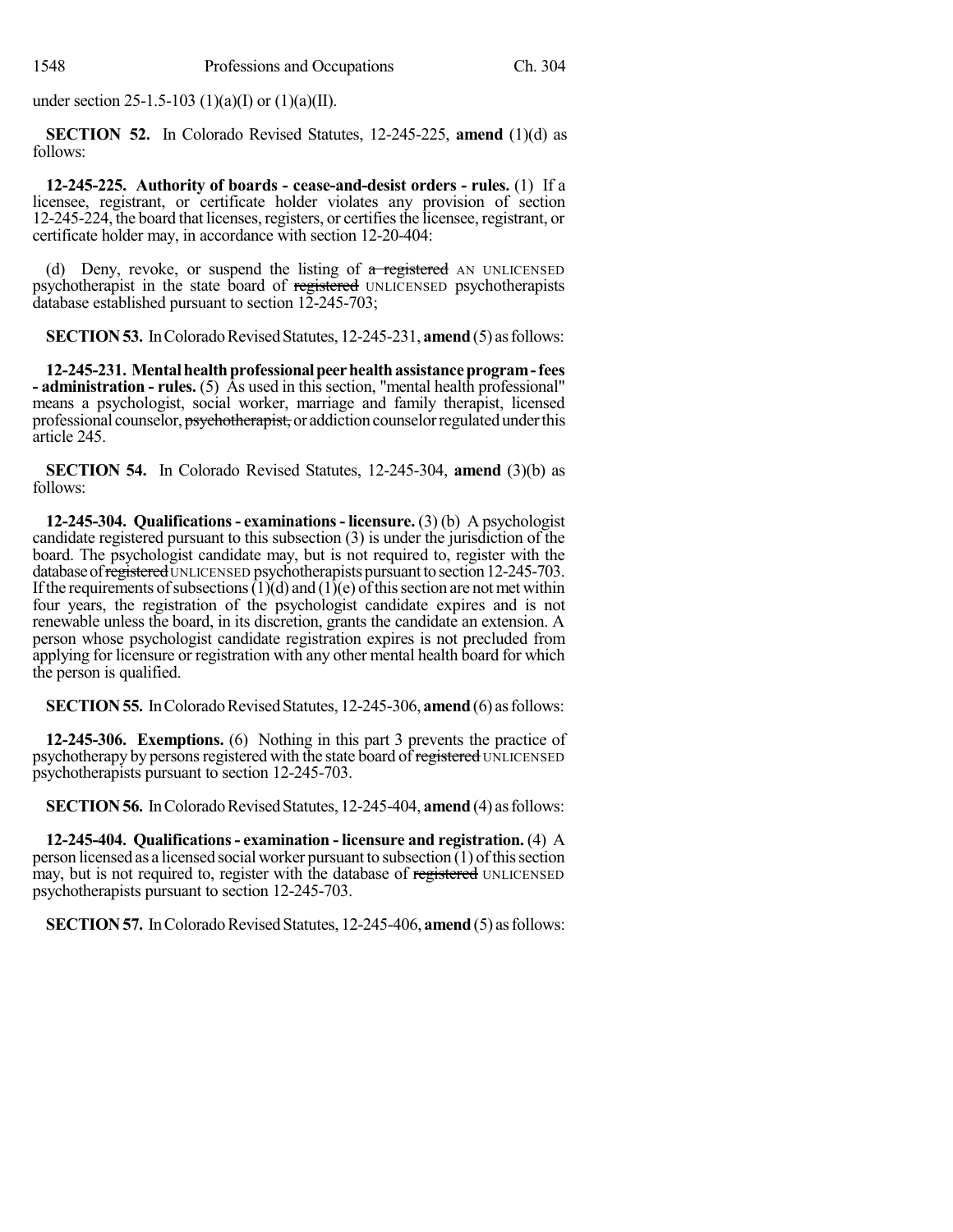under section 25-1.5-103 (1)(a)(I) or (1)(a)(II).

**SECTION 52.** In Colorado Revised Statutes, 12-245-225, **amend** (1)(d) as follows:

**12-245-225. Authority of boards - cease-and-desist orders - rules.** (1) If a licensee, registrant, or certificate holder violates any provision of section 12-245-224, the board that licenses, registers, or certifies the licensee, registrant, or certificate holder may, in accordance with section 12-20-404:

(d) Deny, revoke, or suspend the listing of  $\alpha$  registered AN UNLICENSED psychotherapist in the state board of registered UNLICENSED psychotherapists database established pursuant to section 12-245-703;

**SECTION 53.** In Colorado Revised Statutes, 12-245-231, **amend** (5) as follows:

**12-245-231. Mentalhealthprofessionalpeerhealthassistanceprogram-fees - administration - rules.** (5) As used in this section, "mental health professional" means a psychologist, social worker, marriage and family therapist, licensed professional counselor, psychotherapist, or addiction counselor regulated under this article 245.

**SECTION 54.** In Colorado Revised Statutes, 12-245-304, **amend** (3)(b) as follows:

**12-245-304. Qualifications- examinations- licensure.** (3) (b) A psychologist candidate registered pursuant to this subsection (3) is under the jurisdiction of the board. The psychologist candidate may, but is not required to, register with the database of registered UNLICENSED psychotherapists pursuant to section 12-245-703. If the requirements of subsections  $(1)(d)$  and  $(1)(e)$  of this section are not met within four years, the registration of the psychologist candidate expires and is not renewable unless the board, in its discretion, grants the candidate an extension. A person whose psychologist candidate registration expires is not precluded from applying for licensure or registration with any other mental health board for which the person is qualified.

**SECTION 55.** In Colorado Revised Statutes, 12-245-306, **amend** (6) as follows:

**12-245-306. Exemptions.** (6) Nothing in this part 3 prevents the practice of psychotherapy by persons registered with the state board of registered UNLICENSED psychotherapists pursuant to section 12-245-703.

**SECTION 56.** In Colorado Revised Statutes, 12-245-404, **amend** (4) as follows:

**12-245-404. Qualifications- examination - licensure and registration.** (4) A person licensed as a licensed social worker pursuant to subsection (1) ofthissection may, but is not required to, register with the database of registered UNLICENSED psychotherapists pursuant to section 12-245-703.

**SECTION 57.** In Colorado Revised Statutes, 12-245-406, **amend** (5) as follows: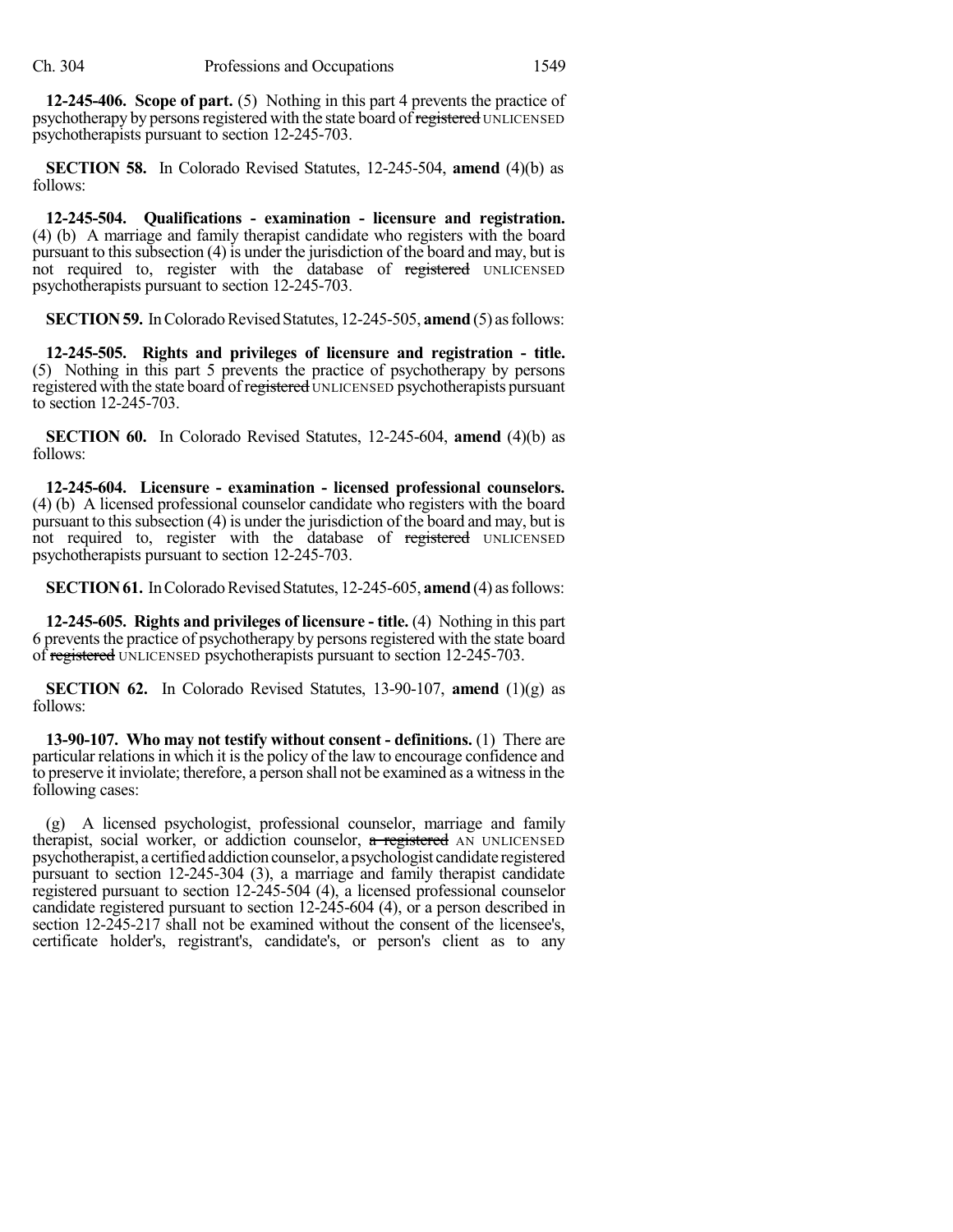**12-245-406. Scope of part.** (5) Nothing in this part 4 prevents the practice of psychotherapy by persons registered with the state board of registered UNLICENSED psychotherapists pursuant to section 12-245-703.

**SECTION 58.** In Colorado Revised Statutes, 12-245-504, **amend** (4)(b) as follows:

**12-245-504. Qualifications - examination - licensure and registration.** (4) (b) A marriage and family therapist candidate who registers with the board pursuant to this subsection  $(4)$  is under the jurisdiction of the board and may, but is not required to, register with the database of registered UNLICENSED psychotherapists pursuant to section 12-245-703.

**SECTION 59.** In Colorado Revised Statutes, 12-245-505, **amend** (5) as follows:

**12-245-505. Rights and privileges of licensure and registration - title.** (5) Nothing in this part 5 prevents the practice of psychotherapy by persons registered with the state board of registered UNLICENSED psychotherapists pursuant to section 12-245-703.

**SECTION 60.** In Colorado Revised Statutes, 12-245-604, **amend** (4)(b) as follows:

**12-245-604. Licensure - examination - licensed professional counselors.** (4) (b) A licensed professional counselor candidate who registers with the board pursuant to this subsection (4) is under the jurisdiction of the board and may, but is not required to, register with the database of registered UNLICENSED psychotherapists pursuant to section 12-245-703.

**SECTION 61.** In Colorado Revised Statutes, 12-245-605, **amend** (4) as follows:

**12-245-605. Rights and privileges of licensure - title.** (4) Nothing in this part 6 prevents the practice of psychotherapy by persons registered with the state board of registered UNLICENSED psychotherapists pursuant to section 12-245-703.

**SECTION** 62. In Colorado Revised Statutes, 13-90-107, **amend**  $(1)(g)$  as follows:

**13-90-107. Who may not testify without consent - definitions.** (1) There are particular relations in which it is the policy of the law to encourage confidence and to preserve it inviolate; therefore, a person shall not be examined as a witnessin the following cases:

(g) A licensed psychologist, professional counselor, marriage and family therapist, social worker, or addiction counselor, a registered AN UNLICENSED psychotherapist, a certified addictioncounselor, apsychologist candidate registered pursuant to section 12-245-304 (3), a marriage and family therapist candidate registered pursuant to section 12-245-504 (4), a licensed professional counselor candidate registered pursuant to section 12-245-604 (4), or a person described in section 12-245-217 shall not be examined without the consent of the licensee's, certificate holder's, registrant's, candidate's, or person's client as to any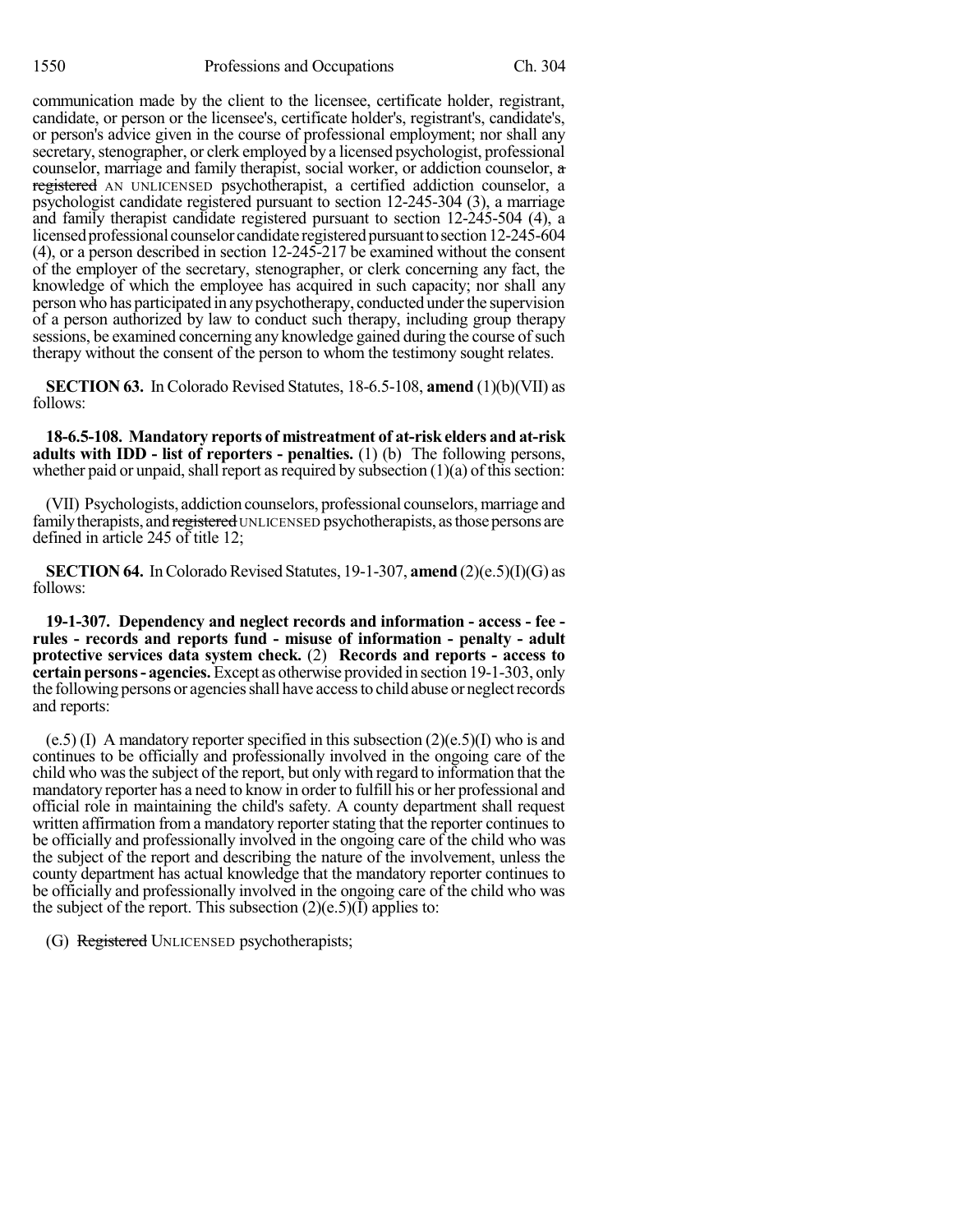communication made by the client to the licensee, certificate holder, registrant, candidate, or person or the licensee's, certificate holder's, registrant's, candidate's, or person's advice given in the course of professional employment; nor shall any secretary, stenographer, or clerk employed by a licensed psychologist, professional counselor, marriage and family therapist, social worker, or addiction counselor, a registered AN UNLICENSED psychotherapist, a certified addiction counselor, a psychologist candidate registered pursuant to section 12-245-304 (3), a marriage and family therapist candidate registered pursuant to section 12-245-504 (4), a licensed professional counselor candidate registered pursuant to section 12-245-604 (4), or a person described in section 12-245-217 be examined without the consent of the employer of the secretary, stenographer, or clerk concerning any fact, the knowledge of which the employee has acquired in such capacity; nor shall any personwho has participated in anypsychotherapy, conducted underthe supervision of a person authorized by law to conduct such therapy, including group therapy sessions, be examined concerning any knowledge gained during the course of such therapy without the consent of the person to whom the testimony sought relates.

**SECTION 63.** In Colorado Revised Statutes, 18-6.5-108, **amend** (1)(b)(VII) as follows:

**18-6.5-108. Mandatory reports of mistreatment of at-risk elders and at-risk adults with IDD - list of reporters - penalties.** (1) (b) The following persons, whether paid or unpaid, shall report as required by subsection  $(1)(a)$  of this section:

(VII) Psychologists, addiction counselors, professional counselors, marriage and family therapists, and registered UNLICENSED psychotherapists, as those persons are defined in article 245 of title 12;

**SECTION 64.** In Colorado Revised Statutes, 19-1-307, **amend** (2)(e.5)(I)(G) as follows:

**19-1-307. Dependency and neglect records and information - access - fee rules - records and reports fund - misuse of information - penalty - adult protective services data system check.** (2) **Records and reports - access to certainpersons- agencies.**Except as otherwise provided in section 19-1-303, only the following persons or agencies shall have access to child abuse or neglect records and reports:

 $(e.5)$  (I) A mandatory reporter specified in this subsection  $(2)(e.5)(I)$  who is and continues to be officially and professionally involved in the ongoing care of the child who wasthe subject of the report, but only with regard to information that the mandatory reporter has a need to know in order to fulfill his or her professional and official role in maintaining the child's safety. A county department shall request written affirmation from a mandatory reporter stating that the reporter continues to be officially and professionally involved in the ongoing care of the child who was the subject of the report and describing the nature of the involvement, unless the county department has actual knowledge that the mandatory reporter continues to be officially and professionally involved in the ongoing care of the child who was the subject of the report. This subsection  $(2)(e.5)(I)$  applies to:

(G) Registered UNLICENSED psychotherapists;